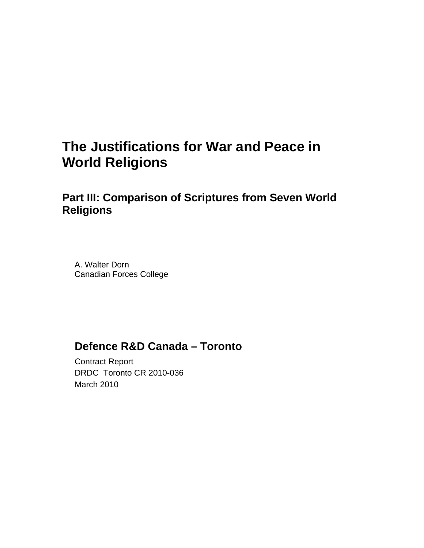# **The Justifications for War and Peace in World Religions**

# **Part III: Comparison of Scriptures from Seven World Religions**

A. Walter Dorn Canadian Forces College

# **Defence R&D Canada – Toronto**

Contract Report DRDC Toronto CR 2010-036 March 2010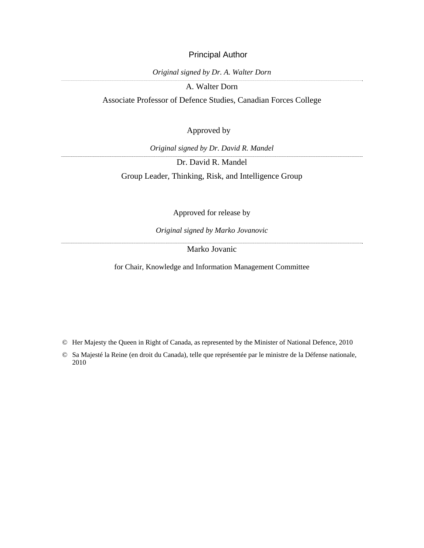### Principal Author

*Original signed by Dr. A. Walter Dorn* 

A. Walter Dorn

Associate Professor of Defence Studies, Canadian Forces College

### Approved by

*Original signed by Dr. David R. Mandel* 

Dr. David R. Mandel

Group Leader, Thinking, Risk, and Intelligence Group

Approved for release by

*Original signed by Marko Jovanovic* 

Marko Jovanic

for Chair, Knowledge and Information Management Committee

© Her Majesty the Queen in Right of Canada, as represented by the Minister of National Defence, 2010

© Sa Majesté la Reine (en droit du Canada), telle que représentée par le ministre de la Défense nationale, 2010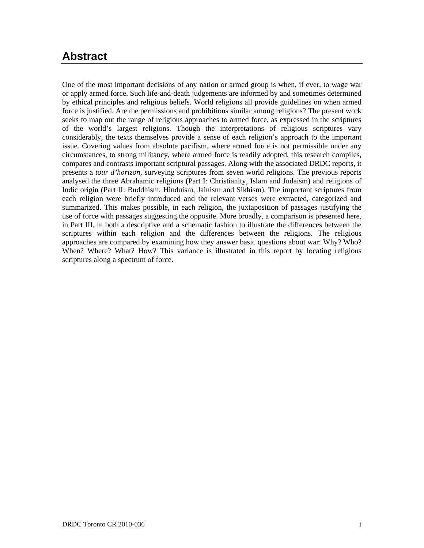# <span id="page-2-0"></span>**Abstract ……..**

One of the most important decisions of any nation or armed group is when, if ever, to wage war or apply armed force. Such life-and-death judgements are informed by and sometimes determined by ethical principles and religious beliefs. World religions all provide guidelines on when armed force is justified. Are the permissions and prohibitions similar among religions? The present work seeks to map out the range of religious approaches to armed force, as expressed in the scriptures of the world's largest religions. Though the interpretations of religious scriptures vary considerably, the texts themselves provide a sense of each religion's approach to the important issue. Covering values from absolute pacifism, where armed force is not permissible under any circumstances, to strong militancy, where armed force is readily adopted, this research compiles, compares and contrasts important scriptural passages. Along with the associated DRDC reports, it presents a *tour d'horizon,* surveying scriptures from seven world religions. The previous reports analysed the three Abrahamic religions (Part I: Christianity, Islam and Judaism) and religions of Indic origin (Part II: Buddhism, Hinduism, Jainism and Sikhism). The important scriptures from each religion were briefly introduced and the relevant verses were extracted, categorized and summarized. This makes possible, in each religion, the juxtaposition of passages justifying the use of force with passages suggesting the opposite. More broadly, a comparison is presented here, in Part III, in both a descriptive and a schematic fashion to illustrate the differences between the scriptures within each religion and the differences between the religions. The religious approaches are compared by examining how they answer basic questions about war: Why? Who? When? Where? What? How? This variance is illustrated in this report by locating religious scriptures along a spectrum of force.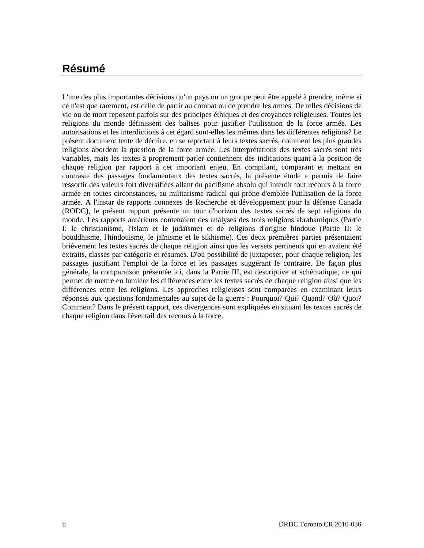# **Résumé ….....**

<span id="page-3-0"></span>L'une des plus importantes décisions qu'un pays ou un groupe peut être appelé à prendre, même si ce n'est que rarement, est celle de partir au combat ou de prendre les armes. De telles décisions de vie ou de mort reposent parfois sur des principes éthiques et des croyances religieuses. Toutes les religions du monde définissent des balises pour justifier l'utilisation de la force armée. Les autorisations et les interdictions à cet égard sont-elles les mêmes dans les différentes religions? Le présent document tente de décrire, en se reportant à leurs textes sacrés, comment les plus grandes religions abordent la question de la force armée. Les interprétations des textes sacrés sont très variables, mais les textes à proprement parler contiennent des indications quant à la position de chaque religion par rapport à cet important enjeu. En compilant, comparant et mettant en contraste des passages fondamentaux des textes sacrés, la présente étude a permis de faire ressortir des valeurs fort diversifiées allant du pacifisme absolu qui interdit tout recours à la force armée en toutes circonstances, au militarisme radical qui prône d'emblée l'utilisation de la force armée. A l'instar de rapports connexes de Recherche et développement pour la défense Canada (RODC), le présent rapport présente un tour d'horizon des textes sacrés de sept religions du monde. Les rapports antérieurs contenaient des analyses des trois religions abrahamiques (Partie I: le christianisme, l'islam et le judaïsme) et de religions d'origine hindoue (Partie II: le bouddhisme, l'hindouisme, le jaïnisme et le sikhisme). Ces deux premières parties présentaient brièvement les textes sacrés de chaque religion ainsi que les versets pertinents qui en avaient été extraits, classés par catégorie et résumes. D'où possibilité de juxtaposer, pour chaque religion, les passages justifiant l'emploi de la force et les passages suggérant le contraire. De façon plus générale, la comparaison présentée ici, dans la Partie III, est descriptive et schématique, ce qui permet de mettre en lumière les différences entre les textes sacrés de chaque religion ainsi que les différences entre les religions. Les approches religieuses sont comparées en examinant leurs réponses aux questions fondamentales au sujet de la guerre : Pourquoi? Qui? Quand? Où? Quoi? Comment? Dans le présent rapport, ces divergences sont expliquées en situant les textes sacrés de chaque religion dans l'éventail des recours à la force.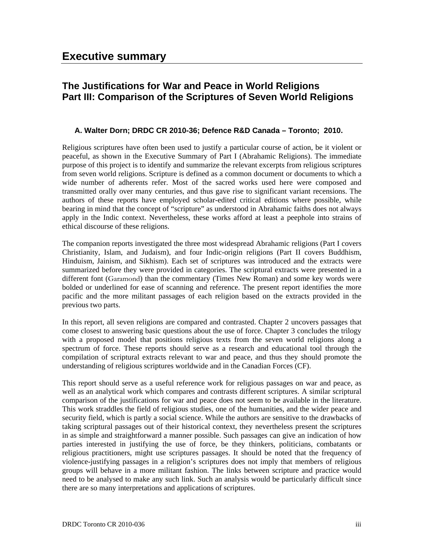## <span id="page-4-0"></span>**The Justifications for War and Peace in World Religions Part III: Comparison of the Scriptures of Seven World Religions**

### **A. Walter Dorn; DRDC CR 2010-36; Defence R&D Canada – Toronto; 2010.**

Religious scriptures have often been used to justify a particular course of action, be it violent or peaceful, as shown in the Executive Summary of Part I (Abrahamic Religions). The immediate purpose of this project is to identify and summarize the relevant excerpts from religious scriptures from seven world religions. Scripture is defined as a common document or documents to which a wide number of adherents refer. Most of the sacred works used here were composed and transmitted orally over many centuries, and thus gave rise to significant variant recensions. The authors of these reports have employed scholar-edited critical editions where possible, while bearing in mind that the concept of "scripture" as understood in Abrahamic faiths does not always apply in the Indic context. Nevertheless, these works afford at least a peephole into strains of ethical discourse of these religions.

The companion reports investigated the three most widespread Abrahamic religions (Part I covers Christianity, Islam, and Judaism), and four Indic-origin religions (Part II covers Buddhism, Hinduism, Jainism, and Sikhism). Each set of scriptures was introduced and the extracts were summarized before they were provided in categories. The scriptural extracts were presented in a different font (Garamond) than the commentary (Times New Roman) and some key words were bolded or underlined for ease of scanning and reference. The present report identifies the more pacific and the more militant passages of each religion based on the extracts provided in the previous two parts.

In this report, all seven religions are compared and contrasted. Chapter 2 uncovers passages that come closest to answering basic questions about the use of force. Chapter 3 concludes the trilogy with a proposed model that positions religious texts from the seven world religions along a spectrum of force. These reports should serve as a research and educational tool through the compilation of scriptural extracts relevant to war and peace, and thus they should promote the understanding of religious scriptures worldwide and in the Canadian Forces (CF).

This report should serve as a useful reference work for religious passages on war and peace, as well as an analytical work which compares and contrasts different scriptures. A similar scriptural comparison of the justifications for war and peace does not seem to be available in the literature. This work straddles the field of religious studies, one of the humanities, and the wider peace and security field, which is partly a social science. While the authors are sensitive to the drawbacks of taking scriptural passages out of their historical context, they nevertheless present the scriptures in as simple and straightforward a manner possible. Such passages can give an indication of how parties interested in justifying the use of force, be they thinkers, politicians, combatants or religious practitioners, might use scriptures passages. It should be noted that the frequency of violence-justifying passages in a religion's scriptures does not imply that members of religious groups will behave in a more militant fashion. The links between scripture and practice would need to be analysed to make any such link. Such an analysis would be particularly difficult since there are so many interpretations and applications of scriptures.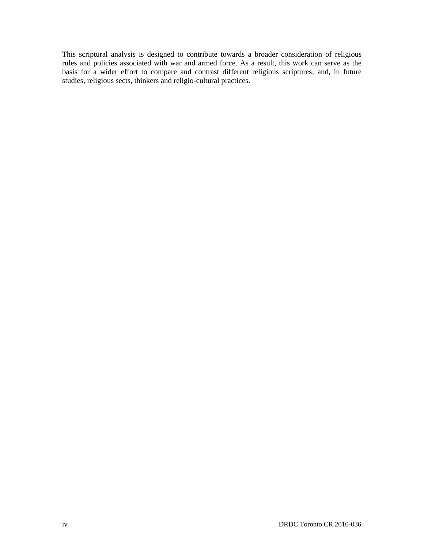This scriptural analysis is designed to contribute towards a broader consideration of religious rules and policies associated with war and armed force. As a result, this work can serve as the basis for a wider effort to compare and contrast different religious scriptures; and, in future studies, religious sects, thinkers and religio-cultural practices.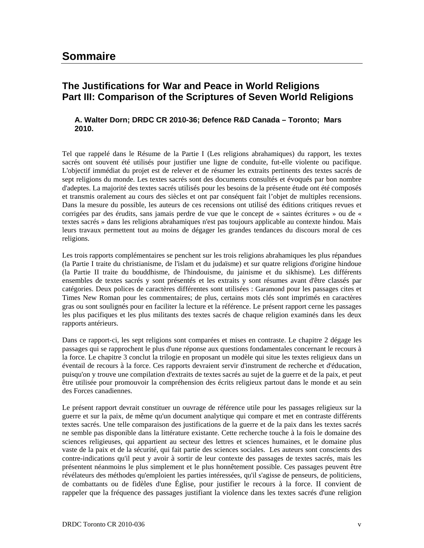### <span id="page-6-0"></span>**The Justifications for War and Peace in World Religions Part III: Comparison of the Scriptures of Seven World Religions**

### **A. Walter Dorn; DRDC CR 2010-36; Defence R&D Canada – Toronto; Mars 2010.**

Tel que rappelé dans le Résume de la Partie I (Les religions abrahamiques) du rapport, les textes sacrés ont souvent été utilisés pour justifier une ligne de conduite, fut-elle violente ou pacifique. L'objectif immédiat du projet est de relever et de résumer les extraits pertinents des textes sacrés de sept religions du monde. Les textes sacrés sont des documents consultés et évoqués par bon nombre d'adeptes. La majorité des textes sacrés utilisés pour les besoins de la présente étude ont été composés et transmis oralement au cours des siècles et ont par conséquent fait l'objet de multiples recensions. Dans la mesure du possible, les auteurs de ces recensions ont utilisé des éditions critiques revues et corrigées par des érudits, sans jamais perdre de vue que le concept de « saintes écritures » ou de « textes sacrés » dans les religions abrahamiques n'est pas toujours applicable au contexte hindou. Mais leurs travaux permettent tout au moins de dégager les grandes tendances du discours moral de ces religions.

Les trois rapports complémentaires se penchent sur les trois religions abrahamiques les plus répandues (la Partie I traite du christianisme, de l'islam et du judaïsme) et sur quatre religions d'origine hindoue (la Partie II traite du bouddhisme, de l'hindouisme, du jainisme et du sikhisme). Les différents ensembles de textes sacrés y sont présentés et les extraits y sont résumes avant d'être classés par catégories. Deux polices de caractères différentes sont utilisées : Garamond pour les passages cites et Times New Roman pour les commentaires; de plus, certains mots clés sont imprimés en caractères gras ou sont soulignés pour en faciliter la lecture et la référence. Le présent rapport cerne les passages les plus pacifiques et les plus militants des textes sacrés de chaque religion examinés dans les deux rapports antérieurs.

Dans ce rapport-ci, les sept religions sont comparées et mises en contraste. Le chapitre 2 dégage les passages qui se rapprochent le plus d'une réponse aux questions fondamentales concernant le recours à la force. Le chapitre 3 conclut la trilogie en proposant un modèle qui situe les textes religieux dans un éventail de recours à la force. Ces rapports devraient servir d'instrument de recherche et d'éducation, puisqu'on y trouve une compilation d'extraits de textes sacrés au sujet de la guerre et de la paix, et peut être utilisée pour promouvoir la compréhension des écrits religieux partout dans le monde et au sein des Forces canadiennes.

Le présent rapport devrait constituer un ouvrage de référence utile pour les passages religieux sur la guerre et sur la paix, de même qu'un document analytique qui compare et met en contraste différents textes sacrés. Une telle comparaison des justifications de la guerre et de la paix dans les textes sacrés ne semble pas disponible dans la littérature existante. Cette recherche touche à la fois le domaine des sciences religieuses, qui appartient au secteur des lettres et sciences humaines, et le domaine plus vaste de la paix et de la sécurité, qui fait partie des sciences sociales. Les auteurs sont conscients des contre-indications qu'il peut y avoir à sortir de leur contexte des passages de textes sacrés, mais les présentent néanmoins le plus simplement et le plus honnêtement possible. Ces passages peuvent être révélateurs des méthodes qu'emploient les parties intéressées, qu'il s'agisse de penseurs, de politiciens, de combattants ou de fidèles d'une Église, pour justifier le recours à la force. II convient de rappeler que la fréquence des passages justifiant la violence dans les textes sacrés d'une religion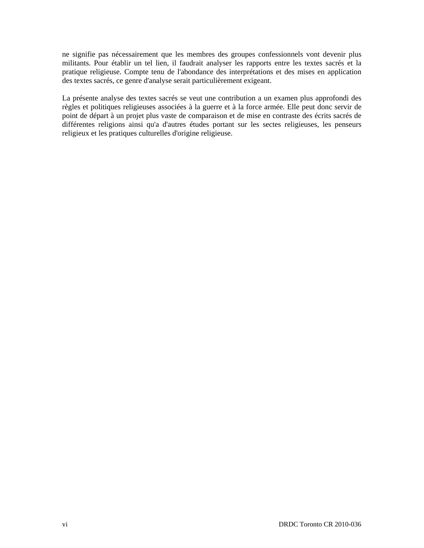ne signifie pas nécessairement que les membres des groupes confessionnels vont devenir plus militants. Pour établir un tel lien, il faudrait analyser les rapports entre les textes sacrés et la pratique religieuse. Compte tenu de l'abondance des interprétations et des mises en application des textes sacrés, ce genre d'analyse serait particulièrement exigeant.

La présente analyse des textes sacrés se veut une contribution a un examen plus approfondi des règles et politiques religieuses associées à la guerre et à la force armée. Elle peut donc servir de point de départ à un projet plus vaste de comparaison et de mise en contraste des écrits sacrés de différentes religions ainsi qu'a d'autres études portant sur les sectes religieuses, les penseurs religieux et les pratiques culturelles d'origine religieuse.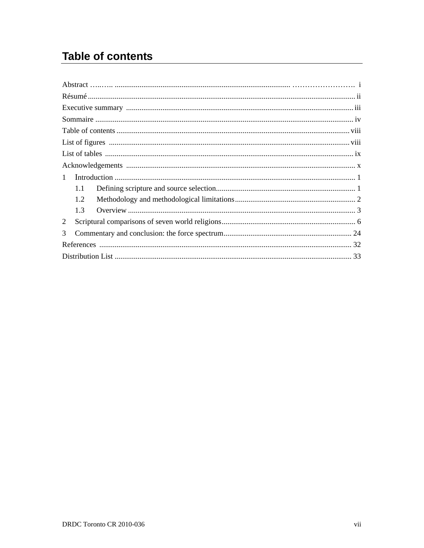# **Table of contents**

| $\mathbf{1}$   |     |  |
|----------------|-----|--|
|                | 1.1 |  |
|                | 1.2 |  |
|                | 1.3 |  |
| $\overline{2}$ |     |  |
| 3              |     |  |
|                |     |  |
|                |     |  |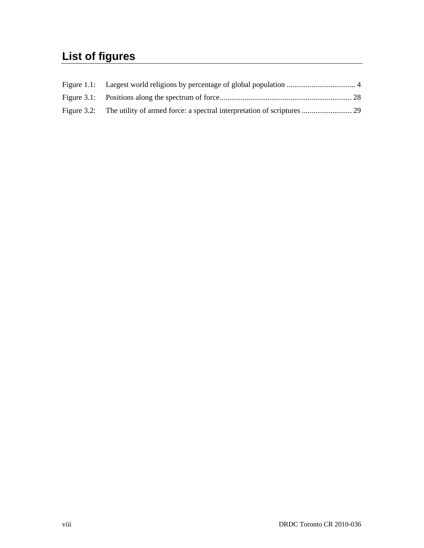# <span id="page-9-0"></span>**List of figures**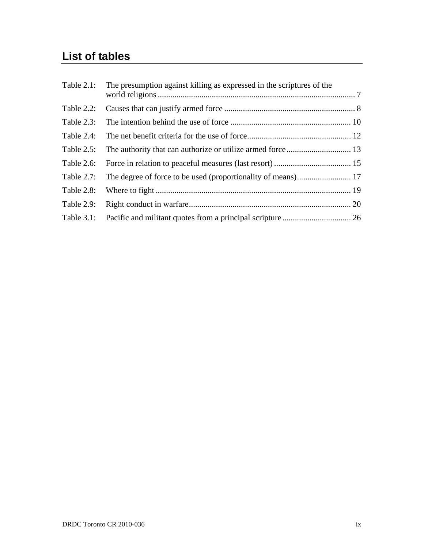# **List of tables**

| Table 2.1:    | The presumption against killing as expressed in the scriptures of the |  |
|---------------|-----------------------------------------------------------------------|--|
| Table 2.2:    |                                                                       |  |
| Table 2.3:    |                                                                       |  |
| Table 2.4:    |                                                                       |  |
| Table $2.5$ : |                                                                       |  |
| Table 2.6:    |                                                                       |  |
| Table 2.7:    |                                                                       |  |
| Table 2.8:    |                                                                       |  |
| Table 2.9:    |                                                                       |  |
| Table $3.1$ : |                                                                       |  |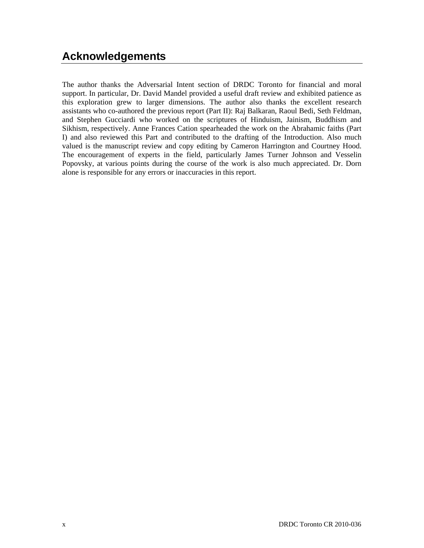# <span id="page-11-0"></span>**Acknowledgements**

The author thanks the Adversarial Intent section of DRDC Toronto for financial and moral support. In particular, Dr. David Mandel provided a useful draft review and exhibited patience as this exploration grew to larger dimensions. The author also thanks the excellent research assistants who co-authored the previous report (Part II): Raj Balkaran, Raoul Bedi, Seth Feldman, and Stephen Gucciardi who worked on the scriptures of Hinduism, Jainism, Buddhism and Sikhism, respectively. Anne Frances Cation spearheaded the work on the Abrahamic faiths (Part I) and also reviewed this Part and contributed to the drafting of the Introduction. Also much valued is the manuscript review and copy editing by Cameron Harrington and Courtney Hood. The encouragement of experts in the field, particularly James Turner Johnson and Vesselin Popovsky, at various points during the course of the work is also much appreciated. Dr. Dorn alone is responsible for any errors or inaccuracies in this report.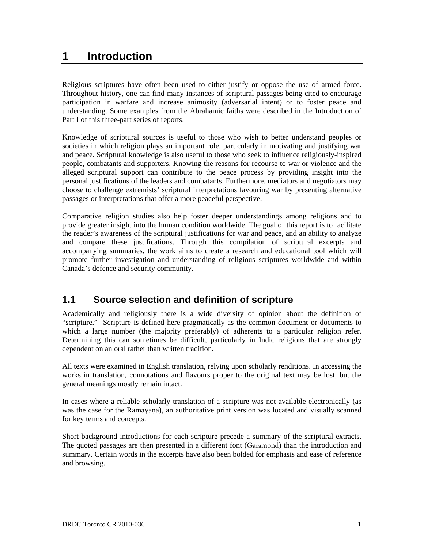## **1 Introduction**

Religious scriptures have often been used to either justify or oppose the use of armed force. Throughout history, one can find many instances of scriptural passages being cited to encourage participation in warfare and increase animosity (adversarial intent) or to foster peace and understanding. Some examples from the Abrahamic faiths were described in the Introduction of Part I of this three-part series of reports.

Knowledge of scriptural sources is useful to those who wish to better understand peoples or societies in which religion plays an important role, particularly in motivating and justifying war and peace. Scriptural knowledge is also useful to those who seek to influence religiously-inspired people, combatants and supporters. Knowing the reasons for recourse to war or violence and the alleged scriptural support can contribute to the peace process by providing insight into the personal justifications of the leaders and combatants. Furthermore, mediators and negotiators may choose to challenge extremists' scriptural interpretations favouring war by presenting alternative passages or interpretations that offer a more peaceful perspective.

Comparative religion studies also help foster deeper understandings among religions and to provide greater insight into the human condition worldwide. The goal of this report is to facilitate the reader's awareness of the scriptural justifications for war and peace, and an ability to analyze and compare these justifications. Through this compilation of scriptural excerpts and accompanying summaries, the work aims to create a research and educational tool which will promote further investigation and understanding of religious scriptures worldwide and within Canada's defence and security community.

## **1.1 Source selection and definition of scripture**

Academically and religiously there is a wide diversity of opinion about the definition of "scripture." Scripture is defined here pragmatically as the common document or documents to which a large number (the majority preferably) of adherents to a particular religion refer. Determining this can sometimes be difficult, particularly in Indic religions that are strongly dependent on an oral rather than written tradition.

All texts were examined in English translation, relying upon scholarly renditions. In accessing the works in translation, connotations and flavours proper to the original text may be lost, but the general meanings mostly remain intact.

In cases where a reliable scholarly translation of a scripture was not available electronically (as was the case for the Rāmāyaa), an authoritative print version was located and visually scanned for key terms and concepts.

Short background introductions for each scripture precede a summary of the scriptural extracts. The quoted passages are then presented in a different font (Garamond) than the introduction and summary. Certain words in the excerpts have also been bolded for emphasis and ease of reference and browsing.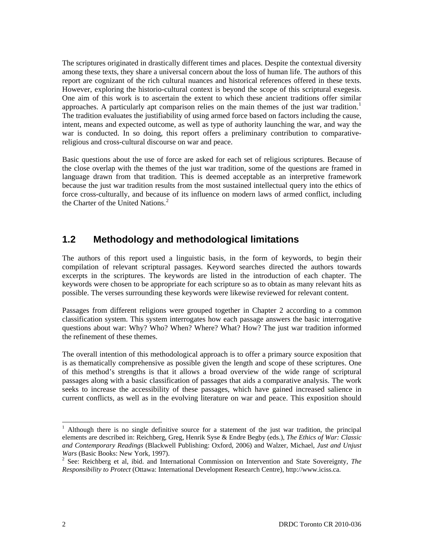The scriptures originated in drastically different times and places. Despite the contextual diversity among these texts, they share a universal concern about the loss of human life. The authors of this report are cognizant of the rich cultural nuances and historical references offered in these texts. However, exploring the historio-cultural context is beyond the scope of this scriptural exegesis. One aim of this work is to ascertain the extent to which these ancient traditions offer similar approaches. A particularly apt comparison relies on the main themes of the just war tradition.<sup>[1](#page-13-0)</sup> The tradition evaluates the justifiability of using armed force based on factors including the cause, intent, means and expected outcome, as well as type of authority launching the war, and way the war is conducted. In so doing, this report offers a preliminary contribution to comparativereligious and cross-cultural discourse on war and peace.

Basic questions about the use of force are asked for each set of religious scriptures. Because of the close overlap with the themes of the just war tradition, some of the questions are framed in language drawn from that tradition. This is deemed acceptable as an interpretive framework because the just war tradition results from the most sustained intellectual query into the ethics of force cross-culturally, and because of its influence on modern laws of armed conflict, including the Charter of the United Nations.<sup>[2](#page-13-1)</sup>

### **1.2 Methodology and methodological limitations**

The authors of this report used a linguistic basis, in the form of keywords, to begin their compilation of relevant scriptural passages. Keyword searches directed the authors towards excerpts in the scriptures. The keywords are listed in the introduction of each chapter. The keywords were chosen to be appropriate for each scripture so as to obtain as many relevant hits as possible. The verses surrounding these keywords were likewise reviewed for relevant content.

Passages from different religions were grouped together in Chapter 2 according to a common classification system. This system interrogates how each passage answers the basic interrogative questions about war: Why? Who? When? Where? What? How? The just war tradition informed the refinement of these themes.

The overall intention of this methodological approach is to offer a primary source exposition that is as thematically comprehensive as possible given the length and scope of these scriptures. One of this method's strengths is that it allows a broad overview of the wide range of scriptural passages along with a basic classification of passages that aids a comparative analysis. The work seeks to increase the accessibility of these passages, which have gained increased salience in current conflicts, as well as in the evolving literature on war and peace. This exposition should

l

<span id="page-13-0"></span><sup>1</sup> Although there is no single definitive source for a statement of the just war tradition, the principal elements are described in: Reichberg, Greg, Henrik Syse & Endre Begby (eds.), *The Ethics of War: Classic and Contemporary Readings* (Blackwell Publishing: Oxford, 2006) and Walzer, Michael, *Just and Unjust Wars* (Basic Books: New York, 1997).

<span id="page-13-1"></span><sup>&</sup>lt;sup>2</sup> See: Reichberg et al, ibid. and International Commission on Intervention and State Sovereignty, *The Responsibility to Protect* (Ottawa: International Development Research Centre), http://www.iciss.ca.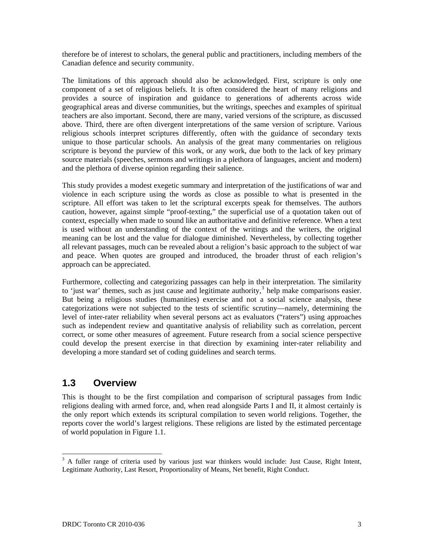therefore be of interest to scholars, the general public and practitioners, including members of the Canadian defence and security community.

The limitations of this approach should also be acknowledged. First, scripture is only one component of a set of religious beliefs. It is often considered the heart of many religions and provides a source of inspiration and guidance to generations of adherents across wide geographical areas and diverse communities, but the writings, speeches and examples of spiritual teachers are also important. Second, there are many, varied versions of the scripture, as discussed above. Third, there are often divergent interpretations of the same version of scripture. Various religious schools interpret scriptures differently, often with the guidance of secondary texts unique to those particular schools. An analysis of the great many commentaries on religious scripture is beyond the purview of this work, or any work, due both to the lack of key primary source materials (speeches, sermons and writings in a plethora of languages, ancient and modern) and the plethora of diverse opinion regarding their salience.

This study provides a modest exegetic summary and interpretation of the justifications of war and violence in each scripture using the words as close as possible to what is presented in the scripture. All effort was taken to let the scriptural excerpts speak for themselves. The authors caution, however, against simple "proof-texting," the superficial use of a quotation taken out of context, especially when made to sound like an authoritative and definitive reference. When a text is used without an understanding of the context of the writings and the writers, the original meaning can be lost and the value for dialogue diminished. Nevertheless, by collecting together all relevant passages, much can be revealed about a religion's basic approach to the subject of war and peace. When quotes are grouped and introduced, the broader thrust of each religion's approach can be appreciated.

Furthermore, collecting and categorizing passages can help in their interpretation. The similarity to 'just war' themes, such as just cause and legitimate authority, $3$  help make comparisons easier. But being a religious studies (humanities) exercise and not a social science analysis, these categorizations were not subjected to the tests of scientific scrutiny—namely, determining the level of inter-rater reliability when several persons act as evaluators ("raters") using approaches such as independent review and quantitative analysis of reliability such as correlation, percent correct, or some other measures of agreement. Future research from a social science perspective could develop the present exercise in that direction by examining inter-rater reliability and developing a more standard set of coding guidelines and search terms.

### **1.3 Overview**

This is thought to be the first compilation and comparison of scriptural passages from Indic religions dealing with armed force, and, when read alongside Parts I and II, it almost certainly is the only report which extends its scriptural compilation to seven world religions. Together, the reports cover the world's largest religions. These religions are listed by the estimated percentage of world population in Figure 1.1.

<span id="page-14-0"></span><sup>&</sup>lt;sup>3</sup> A fuller range of criteria used by various just war thinkers would include: Just Cause, Right Intent, Legitimate Authority, Last Resort, Proportionality of Means, Net benefit, Right Conduct.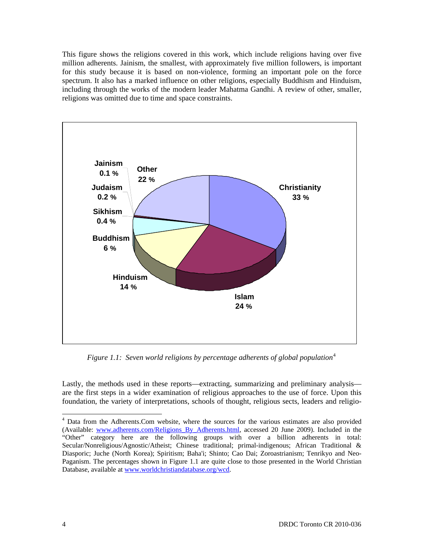This figure shows the religions covered in this work, which include religions having over five million adherents. Jainism, the smallest, with approximately five million followers, is important for this study because it is based on non-violence, forming an important pole on the force spectrum. It also has a marked influence on other religions, especially Buddhism and Hinduism, including through the works of the modern leader Mahatma Gandhi. A review of other, smaller, religions was omitted due to time and space constraints.



*Figure 1.1: Seven world religions by percentage adherents of global population*<sup>[4](#page-15-0)</sup>

Lastly, the methods used in these reports—extracting, summarizing and preliminary analysis are the first steps in a wider examination of religious approaches to the use of force. Upon this foundation, the variety of interpretations, schools of thought, religious sects, leaders and religio-

l

<span id="page-15-0"></span><sup>&</sup>lt;sup>4</sup> Data from the Adherents.Com website, where the sources for the various estimates are also provided (Available: [www.adherents.com/Religions\\_By\\_Adherents.html,](http://www.adherents.com/Religions_By_Adherents.html) accessed 20 June 2009). Included in the "Other" category here are the following groups with over a billion adherents in total: Secular/Nonreligious/Agnostic/Atheist; Chinese traditional; primal-indigenous; African Traditional & Diasporic; Juche (North Korea); Spiritism; Baha'i; Shinto; Cao Dai; Zoroastrianism; Tenrikyo and Neo-Paganism. The percentages shown in Figure 1.1 are quite close to those presented in the World Christian Database, available at [www.worldchristiandatabase.org/wcd](http://www.worldchristiandatabase.org/wcd).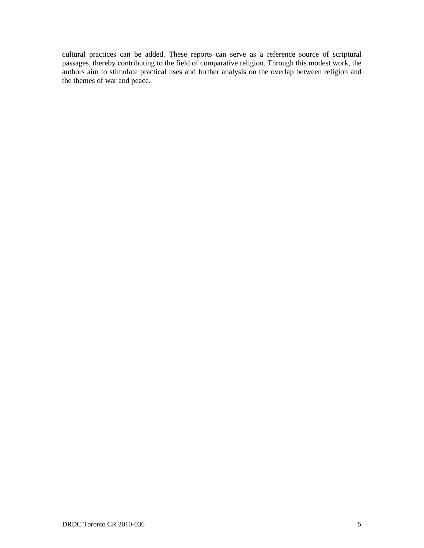cultural practices can be added. These reports can serve as a reference source of scriptural passages, thereby contributing to the field of comparative religion. Through this modest work, the authors aim to stimulate practical uses and further analysis on the overlap between religion and the themes of war and peace.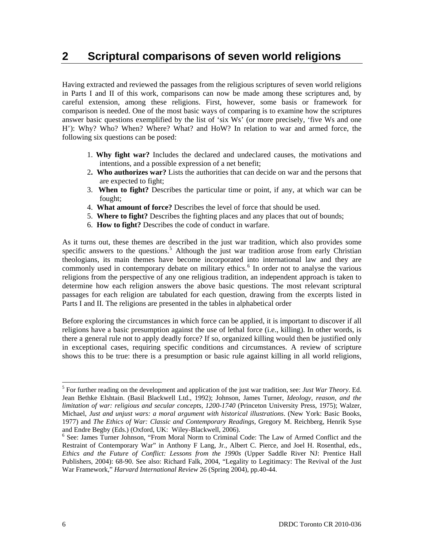# **2 Scriptural comparisons of seven world religions**

Having extracted and reviewed the passages from the religious scriptures of seven world religions in Parts I and II of this work, comparisons can now be made among these scriptures and, by careful extension, among these religions. First, however, some basis or framework for comparison is needed. One of the most basic ways of comparing is to examine how the scriptures answer basic questions exemplified by the list of 'six Ws' (or more precisely, 'five Ws and one H'): Why? Who? When? Where? What? and HoW? In relation to war and armed force, the following six questions can be posed:

- 1. **Why fight war?** Includes the declared and undeclared causes, the motivations and intentions, and a possible expression of a net benefit;
- 2**. Who authorizes war?** Lists the authorities that can decide on war and the persons that are expected to fight;
- 3. **When to fight?** Describes the particular time or point, if any, at which war can be fought;
- 4. **What amount of force?** Describes the level of force that should be used.
- 5. **Where to fight?** Describes the fighting places and any places that out of bounds;
- 6. **How to fight?** Describes the code of conduct in warfare.

As it turns out, these themes are described in the just war tradition, which also provides some specific answers to the questions.<sup>[5](#page-17-0)</sup> Although the just war tradition arose from early Christian theologians, its main themes have become incorporated into international law and they are commonly used in contemporary debate on military ethics.<sup>[6](#page-17-1)</sup> In order not to analyse the various religions from the perspective of any one religious tradition, an independent approach is taken to determine how each religion answers the above basic questions. The most relevant scriptural passages for each religion are tabulated for each question, drawing from the excerpts listed in Parts I and II. The religions are presented in the tables in alphabetical order

Before exploring the circumstances in which force can be applied, it is important to discover if all religions have a basic presumption against the use of lethal force (i.e., killing). In other words, is there a general rule not to apply deadly force? If so, organized killing would then be justified only in exceptional cases, requiring specific conditions and circumstances. A review of scripture shows this to be true: there is a presumption or basic rule against killing in all world religions,

<span id="page-17-0"></span><sup>5</sup> For further reading on the development and application of the just war tradition, see: *Just War Theory*. Ed. Jean Bethke Elshtain. (Basil Blackwell Ltd., 1992); Johnson, James Turner, *Ideology, reason, and the limitation of war: religious and secular concepts, 1200-1740* (Princeton University Press, 1975); Walzer, Michael, *Just and unjust wars: a moral argument with historical illustrations*. (New York: Basic Books, 1977) and *The Ethics of War: Classic and Contemporary Readings*, Gregory M. Reichberg, Henrik Syse and Endre Begby (Eds.) (Oxford, UK: Wiley-Blackwell, 2006).

<span id="page-17-1"></span><sup>&</sup>lt;sup>6</sup> See: James Turner Johnson, "From Moral Norm to Criminal Code: The Law of Armed Conflict and the Restraint of Contemporary War" in Anthony F Lang, Jr., Albert C. Pierce, and Joel H. Rosenthal, eds., *Ethics and the Future of Conflict: Lessons from the 1990s* (Upper Saddle River NJ: Prentice Hall Publishers, 2004): 68-90. See also: Richard Falk, 2004, "Legality to Legitimacy: The Revival of the Just War Framework," *Harvard International Review* 26 (Spring 2004), pp.40-44.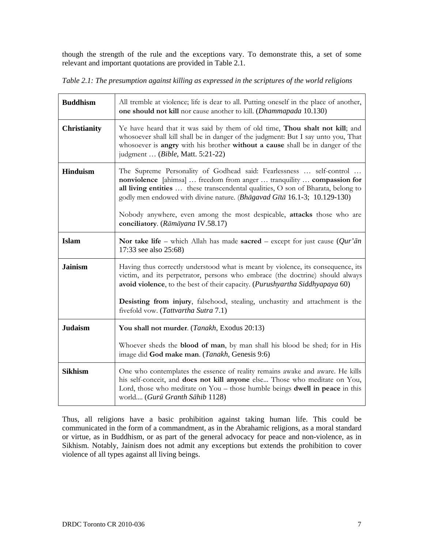though the strength of the rule and the exceptions vary. To demonstrate this, a set of some relevant and important quotations are provided in Table 2.1.

*Table 2.1: The presumption against killing as expressed in the scriptures of the world religions* 

| <b>Buddhism</b>     | All tremble at violence; life is dear to all. Putting oneself in the place of another,<br>one should not kill nor cause another to kill. ( <i>Dhammapada</i> 10.130)                                                                                                                                                                                                                                                        |
|---------------------|-----------------------------------------------------------------------------------------------------------------------------------------------------------------------------------------------------------------------------------------------------------------------------------------------------------------------------------------------------------------------------------------------------------------------------|
| <b>Christianity</b> | Ye have heard that it was said by them of old time, Thou shalt not kill; and<br>whosoever shall kill shall be in danger of the judgment: But I say unto you, That<br>whosoever is angry with his brother without a cause shall be in danger of the<br>judgment  ( <i>Bible</i> , Matt. 5:21-22)                                                                                                                             |
| <b>Hinduism</b>     | The Supreme Personality of Godhead said: Fearlessness  self-control<br>nonviolence [ahimsa]  freedom from anger  tranquility  compassion for<br>all living entities  these transcendental qualities, O son of Bharata, belong to<br>godly men endowed with divine nature. (Bhāgavad Gītā 16.1-3; 10.129-130)<br>Nobody anywhere, even among the most despicable, attacks those who are<br>conciliatory. (Rāmāyana IV.58.17) |
| <b>Islam</b>        | Nor take life – which Allah has made sacred – except for just cause $(Qur'\bar{a}n)$<br>17:33 see also 25:68)                                                                                                                                                                                                                                                                                                               |
| <b>Jainism</b>      | Having thus correctly understood what is meant by violence, its consequence, its<br>victim, and its perpetrator, persons who embrace (the doctrine) should always<br>avoid violence, to the best of their capacity. (Purushyartha Siddhyapaya 60)                                                                                                                                                                           |
|                     | Desisting from injury, falsehood, stealing, unchastity and attachment is the<br>fivefold vow. (Tattvartha Sutra 7.1)                                                                                                                                                                                                                                                                                                        |
| <b>Judaism</b>      | You shall not murder. (Tanakh, Exodus 20:13)                                                                                                                                                                                                                                                                                                                                                                                |
|                     | Whoever sheds the <b>blood of man</b> , by man shall his blood be shed; for in His<br>image did God make man. (Tanakh, Genesis 9:6)                                                                                                                                                                                                                                                                                         |
| <b>Sikhism</b>      | One who contemplates the essence of reality remains awake and aware. He kills<br>his self-conceit, and does not kill anyone else Those who meditate on You,<br>Lord, those who meditate on You – those humble beings dwell in peace in this<br>world (Gurū Granth Sāhib 1128)                                                                                                                                               |

Thus, all religions have a basic prohibition against taking human life. This could be communicated in the form of a commandment, as in the Abrahamic religions, as a moral standard or virtue, as in Buddhism, or as part of the general advocacy for peace and non-violence, as in Sikhism. Notably, Jainism does not admit any exceptions but extends the prohibition to cover violence of all types against all living beings.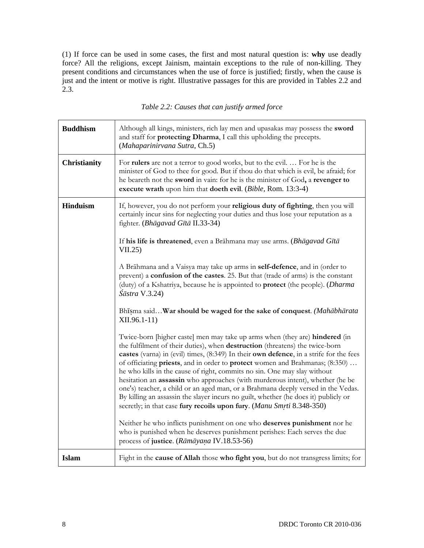(1) If force can be used in some cases, the first and most natural question is: **why** use deadly force? All the religions, except Jainism, maintain exceptions to the rule of non-killing. They present conditions and circumstances when the use of force is justified; firstly, when the cause is just and the intent or motive is right. Illustrative passages for this are provided in Tables 2.2 and 2.3.

| <b>Buddhism</b>     | Although all kings, ministers, rich lay men and upasakas may possess the sword<br>and staff for protecting Dharma, I call this upholding the precepts.<br>(Mahaparinirvana Sutra, Ch.5)                                                                                                                                                                                                                                                                                                                                                                                                                                                                                                                                                                        |
|---------------------|----------------------------------------------------------------------------------------------------------------------------------------------------------------------------------------------------------------------------------------------------------------------------------------------------------------------------------------------------------------------------------------------------------------------------------------------------------------------------------------------------------------------------------------------------------------------------------------------------------------------------------------------------------------------------------------------------------------------------------------------------------------|
| <b>Christianity</b> | For <b>rulers</b> are not a terror to good works, but to the evil.  For he is the<br>minister of God to thee for good. But if thou do that which is evil, be afraid; for<br>he beareth not the sword in vain: for he is the minister of God, a revenger to<br>execute wrath upon him that doeth evil. (Bible, Rom. 13:3-4)                                                                                                                                                                                                                                                                                                                                                                                                                                     |
| <b>Hinduism</b>     | If, however, you do not perform your religious duty of fighting, then you will<br>certainly incur sins for neglecting your duties and thus lose your reputation as a<br>fighter. (Bhāgavad Gītā II.33-34)                                                                                                                                                                                                                                                                                                                                                                                                                                                                                                                                                      |
|                     | If his life is threatened, even a Brāhmana may use arms. (Bhāgavad Gītā<br>VII.25                                                                                                                                                                                                                                                                                                                                                                                                                                                                                                                                                                                                                                                                              |
|                     | A Brāhmana and a Vaisya may take up arms in self-defence, and in (order to<br>prevent) a confusion of the castes. 25. But that (trade of arms) is the constant<br>(duty) of a Kshatriya, because he is appointed to <b>protect</b> (the people). ( <i>Dharma</i><br>$\hat{S}$ āstra V.3.24)                                                                                                                                                                                                                                                                                                                                                                                                                                                                    |
|                     | Bhisma said War should be waged for the sake of conquest. (Mahābhārata<br>XII.96.1-11)                                                                                                                                                                                                                                                                                                                                                                                                                                                                                                                                                                                                                                                                         |
|                     | Twice-born [higher caste] men may take up arms when (they are) <b>hindered</b> (in<br>the fulfilment of their duties), when destruction (threatens) the twice-born<br>castes (varna) in (evil) times, (8:349) In their own defence, in a strife for the fees<br>of officiating priests, and in order to protect women and Brahmanas; (8:350)<br>he who kills in the cause of right, commits no sin. One may slay without<br>hesitation an assassin who approaches (with murderous intent), whether (he be<br>one's) teacher, a child or an aged man, or a Brahmana deeply versed in the Vedas.<br>By killing an assassin the slayer incurs no guilt, whether (he does it) publicly or<br>secretly; in that case fury recoils upon fury. (Manu Smrti 8.348-350) |
|                     | Neither he who inflicts punishment on one who deserves punishment nor he<br>who is punished when he deserves punishment perishes: Each serves the due<br>process of justice. (Rāmāyana IV.18.53-56)                                                                                                                                                                                                                                                                                                                                                                                                                                                                                                                                                            |
| <b>Islam</b>        | Fight in the cause of Allah those who fight you, but do not transgress limits; for                                                                                                                                                                                                                                                                                                                                                                                                                                                                                                                                                                                                                                                                             |

*Table 2.2: Causes that can justify armed force*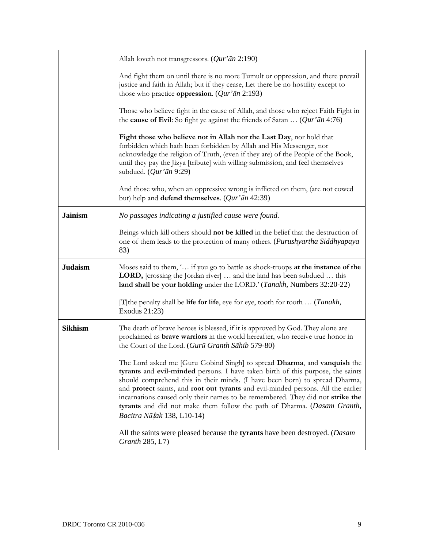|                | Allah loveth not transgressors. $(Qur'\bar{a}n 2:190)$                                                                                                                                                                                                                                                                                                                                                                                                                                                                            |
|----------------|-----------------------------------------------------------------------------------------------------------------------------------------------------------------------------------------------------------------------------------------------------------------------------------------------------------------------------------------------------------------------------------------------------------------------------------------------------------------------------------------------------------------------------------|
|                | And fight them on until there is no more Tumult or oppression, and there prevail<br>justice and faith in Allah; but if they cease, Let there be no hostility except to<br>those who practice oppression. $(Qur'\bar{a}n 2:193)$                                                                                                                                                                                                                                                                                                   |
|                | Those who believe fight in the cause of Allah, and those who reject Faith Fight in<br>the <b>cause of Evil</b> : So fight ye against the friends of Satan $(Qur'\bar{a}n 4:76)$                                                                                                                                                                                                                                                                                                                                                   |
|                | Fight those who believe not in Allah nor the Last Day, nor hold that<br>forbidden which hath been forbidden by Allah and His Messenger, nor<br>acknowledge the religion of Truth, (even if they are) of the People of the Book,<br>until they pay the Jizya [tribute] with willing submission, and feel themselves<br>subdued. $(Qur' \bar{a}n 9:29)$                                                                                                                                                                             |
|                | And those who, when an oppressive wrong is inflicted on them, (are not cowed<br>but) help and <b>defend themselves</b> . ( $Qur'$ $\bar{a}n$ 42:39)                                                                                                                                                                                                                                                                                                                                                                               |
| <b>Jainism</b> | No passages indicating a justified cause were found.                                                                                                                                                                                                                                                                                                                                                                                                                                                                              |
|                | Beings which kill others should not be killed in the belief that the destruction of<br>one of them leads to the protection of many others. (Purushyartha Siddhyapaya<br>83)                                                                                                                                                                                                                                                                                                                                                       |
| <b>Judaism</b> | Moses said to them, ' if you go to battle as shock-troops at the instance of the<br><b>LORD,</b> [crossing the Jordan river]  and the land has been subdued  this<br>land shall be your holding under the LORD.' (Tanakh, Numbers 32:20-22)                                                                                                                                                                                                                                                                                       |
|                | [T] the penalty shall be life for life, eye for eye, tooth for tooth  (Tanakh,<br>Exodus 21:23)                                                                                                                                                                                                                                                                                                                                                                                                                                   |
| <b>Sikhism</b> | The death of brave heroes is blessed, if it is approved by God. They alone are<br>proclaimed as <b>brave warriors</b> in the world hereafter, who receive true honor in<br>the Court of the Lord. (Gurū Granth Sāhib 579-80)                                                                                                                                                                                                                                                                                                      |
|                | The Lord asked me [Guru Gobind Singh] to spread Dharma, and vanquish the<br>tyrants and evil-minded persons. I have taken birth of this purpose, the saints<br>should comprehend this in their minds. (I have been born) to spread Dharma,<br>and protect saints, and root out tyrants and evil-minded persons. All the earlier<br>incarnations caused only their names to be remembered. They did not strike the<br>tyrants and did not make them follow the path of Dharma. (Dasam Granth,<br><i>Bacitra Nātak</i> 138, L10-14) |
|                | All the saints were pleased because the <b>tyrants</b> have been destroyed. ( <i>Dasam</i><br><i>Granth</i> 285, L7)                                                                                                                                                                                                                                                                                                                                                                                                              |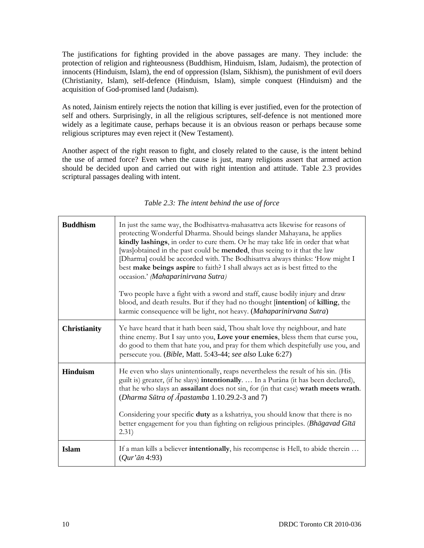The justifications for fighting provided in the above passages are many. They include: the protection of religion and righteousness (Buddhism, Hinduism, Islam, Judaism), the protection of innocents (Hinduism, Islam), the end of oppression (Islam, Sikhism), the punishment of evil doers (Christianity, Islam), self-defence (Hinduism, Islam), simple conquest (Hinduism) and the acquisition of God-promised land (Judaism).

As noted, Jainism entirely rejects the notion that killing is ever justified, even for the protection of self and others. Surprisingly, in all the religious scriptures, self-defence is not mentioned more widely as a legitimate cause, perhaps because it is an obvious reason or perhaps because some religious scriptures may even reject it (New Testament).

Another aspect of the right reason to fight, and closely related to the cause, is the intent behind the use of armed force? Even when the cause is just, many religions assert that armed action should be decided upon and carried out with right intention and attitude. Table 2.3 provides scriptural passages dealing with intent.

| <b>Buddhism</b>     | In just the same way, the Bodhisattva-mahasattva acts likewise for reasons of<br>protecting Wonderful Dharma. Should beings slander Mahayana, he applies<br>kindly lashings, in order to cure them. Or he may take life in order that what<br>[was]obtained in the past could be <b>mended</b> , thus seeing to it that the law<br>[Dharma] could be accorded with. The Bodhisattva always thinks: 'How might I<br>best make beings aspire to faith? I shall always act as is best fitted to the<br>occasion.' (Mahaparinirvana Sutra)<br>Two people have a fight with a sword and staff, cause bodily injury and draw<br>blood, and death results. But if they had no thought [intention] of killing, the<br>karmic consequence will be light, not heavy. (Mahaparinirvana Sutra) |
|---------------------|------------------------------------------------------------------------------------------------------------------------------------------------------------------------------------------------------------------------------------------------------------------------------------------------------------------------------------------------------------------------------------------------------------------------------------------------------------------------------------------------------------------------------------------------------------------------------------------------------------------------------------------------------------------------------------------------------------------------------------------------------------------------------------|
| <b>Christianity</b> | Ye have heard that it hath been said, Thou shalt love thy neighbour, and hate<br>thine enemy. But I say unto you, Love your enemies, bless them that curse you,<br>do good to them that hate you, and pray for them which despitefully use you, and<br>persecute you. (Bible, Matt. 5:43-44; see also Luke 6:27)                                                                                                                                                                                                                                                                                                                                                                                                                                                                   |
| <b>Hinduism</b>     | He even who slays unintentionally, reaps nevertheless the result of his sin. (His<br>guilt is) greater, (if he slays) <b>intentionally</b> .  In a Purâna (it has been declared),<br>that he who slays an assailant does not sin, for (in that case) wrath meets wrath.<br>(Dharma Sūtra of Āpastamba 1.10.29.2-3 and 7)<br>Considering your specific duty as a kshatriya, you should know that there is no<br>better engagement for you than fighting on religious principles. (Bhagavad Gītā<br>(2.31)                                                                                                                                                                                                                                                                           |
| <b>Islam</b>        | If a man kills a believer <b>intentionally</b> , his recompense is Hell, to abide therein<br>$(Qur\bar{a}n 4:93)$                                                                                                                                                                                                                                                                                                                                                                                                                                                                                                                                                                                                                                                                  |

*Table 2.3: The intent behind the use of force*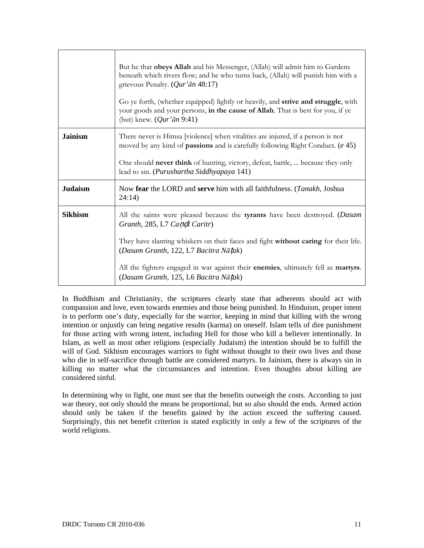|                | But he that obeys Allah and his Messenger, (Allah) will admit him to Gardens<br>beneath which rivers flow; and he who turns back, (Allah) will punish him with a<br>grievous Penalty. $(Qur'\bar{a}n 48:17)$<br>Go ye forth, (whether equipped) lightly or heavily, and strive and struggle, with<br>your goods and your persons, in the cause of Allah. That is best for you, if ye<br>(but) knew. $(Qur\bar{a}n 9:41)$ |
|----------------|--------------------------------------------------------------------------------------------------------------------------------------------------------------------------------------------------------------------------------------------------------------------------------------------------------------------------------------------------------------------------------------------------------------------------|
| <b>Jainism</b> | There never is Himsa [violence] when vitalities are injured, if a person is not<br>moved by any kind of <b>passions</b> and is carefully following Right Conduct. (e 45)<br>One should never think of hunting, victory, defeat, battle,  because they only<br>lead to sin. (Purushartha Siddhyapaya 141)                                                                                                                 |
| <b>Judaism</b> | Now fear the LORD and serve him with all faithfulness. ( <i>Tanakh</i> , Joshua<br>24:14)                                                                                                                                                                                                                                                                                                                                |
| <b>Sikhism</b> | All the saints were pleased because the <b>tyrants</b> have been destroyed. ( <i>Dasam</i><br>Granth, 285, L7 Candi Caritr)<br>They have slanting whiskers on their faces and fight without caring for their life.<br>(Dasam Granth, 122, L7 Bacitra Nātak)<br>All the fighters engaged in war against their enemies, ultimately fell as martyrs.<br>(Dasam Granth, 125, L6 Bacitra Nātak)                               |

In Buddhism and Christianity, the scriptures clearly state that adherents should act with compassion and love, even towards enemies and those being punished. In Hinduism, proper intent is to perform one's duty, especially for the warrior, keeping in mind that killing with the wrong intention or unjustly can bring negative results (karma) on oneself. Islam tells of dire punishment for those acting with wrong intent, including Hell for those who kill a believer intentionally. In Islam, as well as most other religions (especially Judaism) the intention should be to fulfill the will of God. Sikhism encourages warriors to fight without thought to their own lives and those who die in self-sacrifice through battle are considered martyrs. In Jainism, there is always sin in killing no matter what the circumstances and intention. Even thoughts about killing are considered sinful.

In determining why to fight, one must see that the benefits outweigh the costs. According to just war theory, not only should the means be proportional, but so also should the ends. Armed action should only be taken if the benefits gained by the action exceed the suffering caused. Surprisingly, this net benefit criterion is stated explicitly in only a few of the scriptures of the world religions.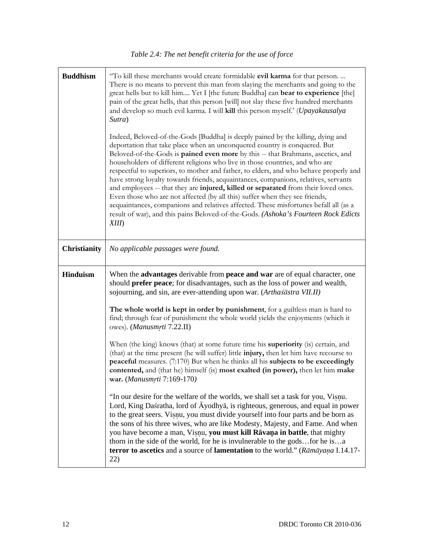| <b>Buddhism</b>     | "To kill these merchants would create formidable evil karma for that person.<br>There is no means to prevent this man from slaying the merchants and going to the<br>great hells but to kill him Yet I [the future Buddha] can bear to experience [the]<br>pain of the great hells, that this person [will] not slay these five hundred merchants<br>and develop so much evil karma. I will kill this person myself.' (Upayakausalya<br>Sutra)<br>Indeed, Beloved-of-the-Gods [Buddha] is deeply pained by the killing, dying and<br>deportation that take place when an unconquered country is conquered. But<br>Beloved-of-the-Gods is pained even more by this -- that Brahmans, ascetics, and<br>householders of different religions who live in those countries, and who are<br>respectful to superiors, to mother and father, to elders, and who behave properly and<br>have strong loyalty towards friends, acquaintances, companions, relatives, servants<br>and employees -- that they are injured, killed or separated from their loved ones.<br>Even those who are not affected (by all this) suffer when they see friends,<br>acquaintances, companions and relatives affected. These misfortunes befall all (as a<br>result of war), and this pains Beloved-of-the-Gods. (Ashoka's Fourteen Rock Edicts<br>XIII |
|---------------------|------------------------------------------------------------------------------------------------------------------------------------------------------------------------------------------------------------------------------------------------------------------------------------------------------------------------------------------------------------------------------------------------------------------------------------------------------------------------------------------------------------------------------------------------------------------------------------------------------------------------------------------------------------------------------------------------------------------------------------------------------------------------------------------------------------------------------------------------------------------------------------------------------------------------------------------------------------------------------------------------------------------------------------------------------------------------------------------------------------------------------------------------------------------------------------------------------------------------------------------------------------------------------------------------------------------------------|
| <b>Christianity</b> | No applicable passages were found.                                                                                                                                                                                                                                                                                                                                                                                                                                                                                                                                                                                                                                                                                                                                                                                                                                                                                                                                                                                                                                                                                                                                                                                                                                                                                           |
| <b>Hinduism</b>     | When the advantages derivable from peace and war are of equal character, one<br>should prefer peace; for disadvantages, such as the loss of power and wealth,<br>sojourning, and sin, are ever-attending upon war. (Arthaśāstra VII.II)<br>The whole world is kept in order by punishment, for a guiltless man is hard to<br>find; through fear of punishment the whole world yields the enjoyments (which it                                                                                                                                                                                                                                                                                                                                                                                                                                                                                                                                                                                                                                                                                                                                                                                                                                                                                                                |
|                     | owes). (Manusmrti 7.22.II)<br>When (the king) knows (that) at some future time his <b>superiority</b> (is) certain, and<br>(that) at the time present (he will suffer) little <b>injury</b> , then let him have recourse to<br>peaceful measures. (7:170) But when he thinks all his subjects to be exceedingly<br>contented, and (that he) himself (is) most exalted (in power), then let him make<br>war. (Manusmrti 7:169-170)                                                                                                                                                                                                                                                                                                                                                                                                                                                                                                                                                                                                                                                                                                                                                                                                                                                                                            |
|                     | "In our desire for the welfare of the worlds, we shall set a task for you, Visnu.<br>Lord, King Daśratha, lord of $\bar{A}$ yodhya, is righteous, generous, and equal in power<br>to the great seers. Visnu, you must divide yourself into four parts and be born as<br>the sons of his three wives, who are like Modesty, Majesty, and Fame. And when<br>you have become a man, Visnu, you must kill Rāvaņa in battle, that mighty<br>thorn in the side of the world, for he is invulnerable to the godsfor he isa<br>terror to ascetics and a source of lamentation to the world." (Rāmāyaṇa I.14.17-<br>22)                                                                                                                                                                                                                                                                                                                                                                                                                                                                                                                                                                                                                                                                                                               |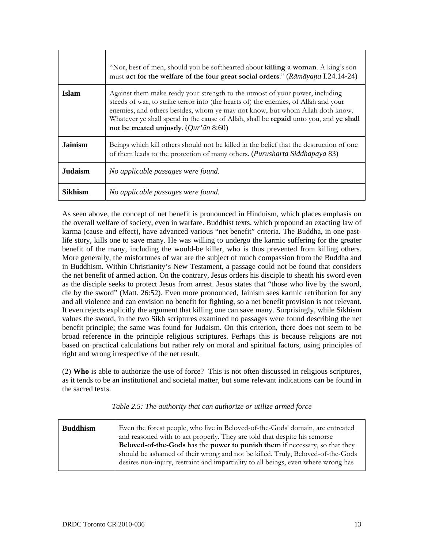|                | "Nor, best of men, should you be softhearted about killing a woman. A king's son<br>must act for the welfare of the four great social orders." (Rāmāyaṇa I.24.14-24)                                                                                                                                                                                                                                     |
|----------------|----------------------------------------------------------------------------------------------------------------------------------------------------------------------------------------------------------------------------------------------------------------------------------------------------------------------------------------------------------------------------------------------------------|
| <b>Islam</b>   | Against them make ready your strength to the utmost of your power, including<br>steeds of war, to strike terror into (the hearts of) the enemies, of Allah and your<br>enemies, and others besides, whom ye may not know, but whom Allah doth know.<br>Whatever ye shall spend in the cause of Allah, shall be <b>repaid</b> unto you, and ye shall<br>not be treated unjustly. ( $Qur'$ <i>ān</i> 8:60) |
| <b>Jainism</b> | Beings which kill others should not be killed in the belief that the destruction of one<br>of them leads to the protection of many others. (Purusharta Siddhapaya 83)                                                                                                                                                                                                                                    |
| <b>Judaism</b> | No applicable passages were found.                                                                                                                                                                                                                                                                                                                                                                       |
| <b>Sikhism</b> | No applicable passages were found.                                                                                                                                                                                                                                                                                                                                                                       |

As seen above, the concept of net benefit is pronounced in Hinduism, which places emphasis on the overall welfare of society, even in warfare. Buddhist texts, which propound an exacting law of karma (cause and effect), have advanced various "net benefit" criteria. The Buddha, in one pastlife story, kills one to save many. He was willing to undergo the karmic suffering for the greater benefit of the many, including the would-be killer, who is thus prevented from killing others. More generally, the misfortunes of war are the subject of much compassion from the Buddha and in Buddhism. Within Christianity's New Testament, a passage could not be found that considers the net benefit of armed action. On the contrary, Jesus orders his disciple to sheath his sword even as the disciple seeks to protect Jesus from arrest. Jesus states that "those who live by the sword, die by the sword" (Matt. 26:52). Even more pronounced, Jainism sees karmic retribution for any and all violence and can envision no benefit for fighting, so a net benefit provision is not relevant. It even rejects explicitly the argument that killing one can save many. Surprisingly, while Sikhism values the sword, in the two Sikh scriptures examined no passages were found describing the net benefit principle; the same was found for Judaism. On this criterion, there does not seem to be broad reference in the principle religious scriptures. Perhaps this is because religions are not based on practical calculations but rather rely on moral and spiritual factors, using principles of right and wrong irrespective of the net result.

(2) **Who** is able to authorize the use of force? This is not often discussed in religious scriptures, as it tends to be an institutional and societal matter, but some relevant indications can be found in the sacred texts.

| <b>Buddhism</b> | Even the forest people, who live in Beloved-of-the-Gods' domain, are entreated<br>and reasoned with to act properly. They are told that despite his remorse<br>Beloved-of-the-Gods has the power to punish them if necessary, so that they<br>should be ashamed of their wrong and not be killed. Truly, Beloved-of-the-Gods<br>desires non-injury, restraint and impartiality to all beings, even where wrong has |
|-----------------|--------------------------------------------------------------------------------------------------------------------------------------------------------------------------------------------------------------------------------------------------------------------------------------------------------------------------------------------------------------------------------------------------------------------|
|                 |                                                                                                                                                                                                                                                                                                                                                                                                                    |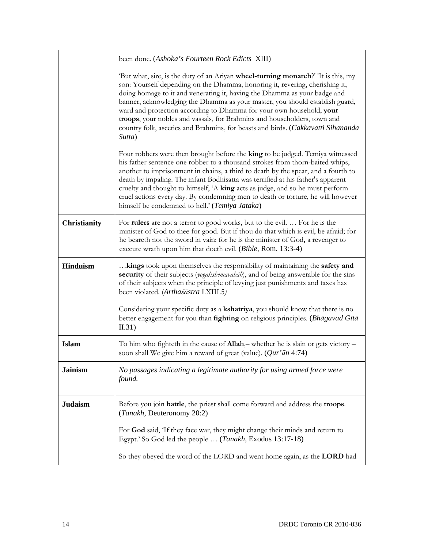|                     | been done. (Ashoka's Fourteen Rock Edicts XIII)                                                                                                                                                                                                                                                                                                                                                                                                                                                                                                                                  |
|---------------------|----------------------------------------------------------------------------------------------------------------------------------------------------------------------------------------------------------------------------------------------------------------------------------------------------------------------------------------------------------------------------------------------------------------------------------------------------------------------------------------------------------------------------------------------------------------------------------|
|                     | 'But what, sire, is the duty of an Ariyan wheel-turning monarch?' 'It is this, my<br>son: Yourself depending on the Dhamma, honoring it, revering, cherishing it,<br>doing homage to it and venerating it, having the Dhamma as your badge and<br>banner, acknowledging the Dhamma as your master, you should establish guard,<br>ward and protection according to Dhamma for your own household, your<br>troops, your nobles and vassals, for Brahmins and householders, town and<br>country folk, ascetics and Brahmins, for beasts and birds. (Cakkavatti Sihananda<br>Sutta) |
|                     | Four robbers were then brought before the king to be judged. Temiya witnessed<br>his father sentence one robber to a thousand strokes from thorn-baited whips,<br>another to imprisonment in chains, a third to death by the spear, and a fourth to<br>death by impaling. The infant Bodhisatta was terrified at his father's apparent<br>cruelty and thought to himself, 'A king acts as judge, and so he must perform<br>cruel actions every day. By condemning men to death or torture, he will however<br>himself be condemned to hell.' (Temiya Jataka)                     |
| <b>Christianity</b> | For <b>rulers</b> are not a terror to good works, but to the evil.  For he is the<br>minister of God to thee for good. But if thou do that which is evil, be afraid; for<br>he beareth not the sword in vain: for he is the minister of God, a revenger to<br>execute wrath upon him that doeth evil. (Bible, Rom. 13:3-4)                                                                                                                                                                                                                                                       |
| <b>Hinduism</b>     | kings took upon themselves the responsibility of maintaining the safety and<br>security of their subjects (yogakshemavaháh), and of being answerable for the sins<br>of their subjects when the principle of levying just punishments and taxes has<br>been violated. (Arthaśāstra I.XIII.5)                                                                                                                                                                                                                                                                                     |
|                     | Considering your specific duty as a kshatriya, you should know that there is no<br>better engagement for you than fighting on religious principles. (Bhagavad Gītā<br>II.31)                                                                                                                                                                                                                                                                                                                                                                                                     |
| <b>Islam</b>        | To him who fighteth in the cause of $Allah$ , whether he is slain or gets victory -<br>soon shall We give him a reward of great (value). (Qur'an 4:74)                                                                                                                                                                                                                                                                                                                                                                                                                           |
| <b>Jainism</b>      | No passages indicating a legitimate authority for using armed force were<br>found.                                                                                                                                                                                                                                                                                                                                                                                                                                                                                               |
| <b>Judaism</b>      | Before you join <b>battle</b> , the priest shall come forward and address the <b>troops</b> .<br>(Tanakh, Deuteronomy 20:2)                                                                                                                                                                                                                                                                                                                                                                                                                                                      |
|                     | For God said, 'If they face war, they might change their minds and return to<br>Egypt.' So God led the people  (Tanakh, Exodus 13:17-18)                                                                                                                                                                                                                                                                                                                                                                                                                                         |
|                     | So they obeyed the word of the LORD and went home again, as the LORD had                                                                                                                                                                                                                                                                                                                                                                                                                                                                                                         |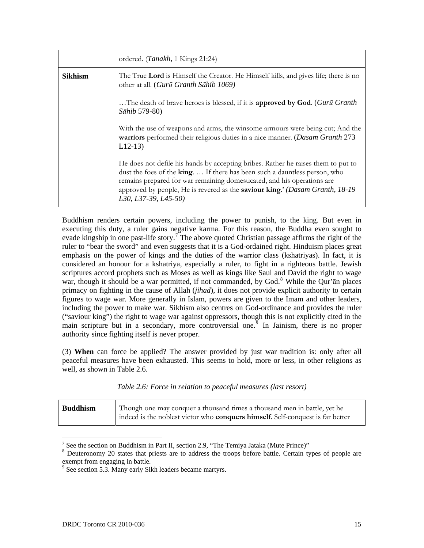|                | ordered. (Tanakh, 1 Kings 21:24)                                                                                                                                                                                                                                                                                                                    |
|----------------|-----------------------------------------------------------------------------------------------------------------------------------------------------------------------------------------------------------------------------------------------------------------------------------------------------------------------------------------------------|
| <b>Sikhism</b> | The True Lord is Himself the Creator. He Himself kills, and gives life; there is no<br>other at all. (Gurū Granth Sāhib 1069)                                                                                                                                                                                                                       |
|                | The death of brave heroes is blessed, if it is <b>approved by God</b> . (Guru Granth<br>Sāhib 579-80)                                                                                                                                                                                                                                               |
|                | With the use of weapons and arms, the winsome armours were being cut; And the<br>warriors performed their religious duties in a nice manner. (Dasam Granth 273<br>$L12-13$                                                                                                                                                                          |
|                | He does not defile his hands by accepting bribes. Rather he raises them to put to<br>dust the foes of the king.  If there has been such a dauntless person, who<br>remains prepared for war remaining domesticated, and his operations are<br>approved by people, He is revered as the saviour king.' (Dasam Granth, 18-19)<br>L30, L37-39, L45-50) |

Buddhism renders certain powers, including the power to punish, to the king. But even in executing this duty, a ruler gains negative karma. For this reason, the Buddha even sought to evade kingship in one past-life story.<sup>[7](#page-26-0)</sup> The above quoted Christian passage affirms the right of the ruler to "bear the sword" and even suggests that it is a God-ordained right. Hinduism places great emphasis on the power of kings and the duties of the warrior class (kshatriyas). In fact, it is considered an honour for a kshatriya, especially a ruler, to fight in a righteous battle. Jewish scriptures accord prophets such as Moses as well as kings like Saul and David the right to wage war, though it should be a war permitted, if not commanded, by God.<sup>[8](#page-26-1)</sup> While the Qur'an places primacy on fighting in the cause of Allah (*jihad*), it does not provide explicit authority to certain figures to wage war. More generally in Islam, powers are given to the Imam and other leaders, including the power to make war. Sikhism also centres on God-ordinance and provides the ruler ("saviour king") the right to wage war against oppressors, though this is not explicitly cited in the main scripture but in a secondary, more controversial one.<sup> $9$ </sup> In Jainism, there is no proper authority since fighting itself is never proper.

(3) **When** can force be applied? The answer provided by just war tradition is: only after all peaceful measures have been exhausted. This seems to hold, more or less, in other religions as well, as shown in Table 2.6.

|  |  |  |  |  | Table 2.6: Force in relation to peaceful measures (last resort) |
|--|--|--|--|--|-----------------------------------------------------------------|
|--|--|--|--|--|-----------------------------------------------------------------|

| Though one may conquer a thousand times a thousand men in battle, yet he<br><b>Buddhism</b><br>indeed is the noblest victor who <b>conquers himself</b> . Self-conquest is far better |
|---------------------------------------------------------------------------------------------------------------------------------------------------------------------------------------|
|---------------------------------------------------------------------------------------------------------------------------------------------------------------------------------------|

<sup>&</sup>lt;sup>7</sup> See the section on Buddhism in Part II, section 2.9, "The Temiya Jataka (Mute Prince)"  $\frac{8}{3}$  Douteronomy 20 states that princts are to address the troops before bettle. Certain to

<span id="page-26-1"></span><span id="page-26-0"></span>Deuteronomy 20 states that priests are to address the troops before battle. Certain types of people are exempt from engaging in battle.

<span id="page-26-2"></span><sup>&</sup>lt;sup>9</sup> See section 5.3. Many early Sikh leaders became martyrs.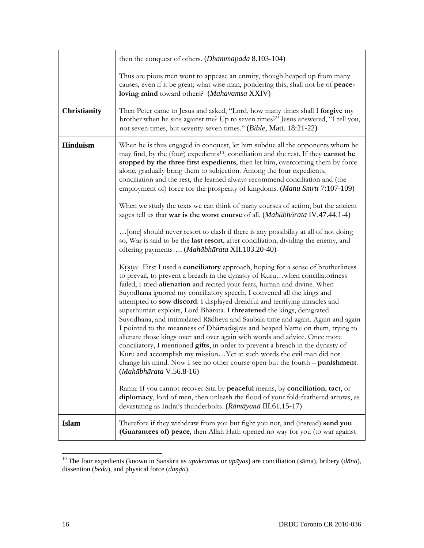|                     | then the conquest of others. ( <i>Dhammapada</i> 8.103-104)                                                                                                                                                                                                                                                                                                                                                                                                                                                                                                                                                                                                                                                                                                                                                                                                                                                                                                                                                                                                                    |
|---------------------|--------------------------------------------------------------------------------------------------------------------------------------------------------------------------------------------------------------------------------------------------------------------------------------------------------------------------------------------------------------------------------------------------------------------------------------------------------------------------------------------------------------------------------------------------------------------------------------------------------------------------------------------------------------------------------------------------------------------------------------------------------------------------------------------------------------------------------------------------------------------------------------------------------------------------------------------------------------------------------------------------------------------------------------------------------------------------------|
|                     | Thus are pious men wont to appease an enmity, though heaped up from many<br>causes, even if it be great; what wise man, pondering this, shall not be of peace-<br>loving mind toward others? (Mahavamsa XXIV)                                                                                                                                                                                                                                                                                                                                                                                                                                                                                                                                                                                                                                                                                                                                                                                                                                                                  |
| <b>Christianity</b> | Then Peter came to Jesus and asked, "Lord, how many times shall I forgive my<br>brother when he sins against me? Up to seven times?" Jesus answered, "I tell you,<br>not seven times, but seventy-seven times." (Bible, Matt. 18:21-22)                                                                                                                                                                                                                                                                                                                                                                                                                                                                                                                                                                                                                                                                                                                                                                                                                                        |
| <b>Hinduism</b>     | When he is thus engaged in conquest, let him subdue all the opponents whom he<br>may find, by the (four) expedients <sup>10</sup> , conciliation and the rest. If they cannot be<br>stopped by the three first expedients, then let him, overcoming them by force<br>alone, gradually bring them to subjection. Among the four expedients,<br>conciliation and the rest, the learned always recommend conciliation and (the<br>employment of) force for the prosperity of kingdoms. (Manu Smrti 7:107-109)<br>When we study the texts we can think of many courses of action, but the ancient<br>sages tell us that war is the worst course of all. (Mahābhārata IV.47.44.1-4)<br>[one] should never resort to clash if there is any possibility at all of not doing<br>so, War is said to be the last resort, after conciliation, dividing the enemy, and<br>offering payments (Mahābhārata XII.103.20-40)<br>Krsna: First I used a conciliatory approach, hoping for a sense of brotherliness<br>to prevail, to prevent a breach in the dynasty of Kuruwhen conciliatoriness |
|                     | failed, I tried alienation and recited your feats, human and divine. When<br>Suyodhana ignored my conciliatory speech, I convened all the kings and<br>attempted to sow discord. I displayed dreadful and terrifying miracles and<br>superhuman exploits, Lord Bharata. I threatened the kings, denigrated<br>Suyodhana, and intimidated Rādheya and Saubala time and again. Again and again<br>I pointed to the meanness of Dhartarastras and heaped blame on them, trying to<br>alienate those kings over and over again with words and advice. Once more<br>conciliatory, I mentioned gifts, in order to prevent a breach in the dynasty of<br>Kuru and accomplish my missionYet at such words the evil man did not<br>change his mind. Now I see no other course open but the fourth – punishment.<br>(Mahābhārata V.56.8-16)<br>Rama: If you cannot recover Sita by peaceful means, by conciliation, tact, or<br>diplomacy, lord of men, then unleash the flood of your fold-feathered arrows, as<br>devastating as Indra's thunderbolts. (Rāmāyaņā III.61.15-17)         |
| <b>Islam</b>        | Therefore if they withdraw from you but fight you not, and (instead) send you<br>(Guarantees of) peace, then Allah Hath opened no way for you (to war against                                                                                                                                                                                                                                                                                                                                                                                                                                                                                                                                                                                                                                                                                                                                                                                                                                                                                                                  |

<span id="page-27-0"></span><sup>10</sup> The four expedients (known in Sanskrit as *upakramas* or *upāyas*) are conciliation (sāma), bribery (*dāna*), dissention (*beda*), and physical force (*daa*).

 $\overline{a}$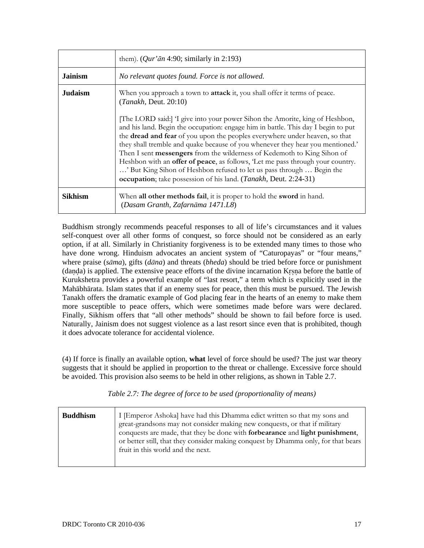|                | them). ( <i>Qur'an</i> 4:90; similarly in 2:193)                                                                                                                                                                                                                                                                                                                                                                                                                                                                                                                                                                                                                                                                                                         |
|----------------|----------------------------------------------------------------------------------------------------------------------------------------------------------------------------------------------------------------------------------------------------------------------------------------------------------------------------------------------------------------------------------------------------------------------------------------------------------------------------------------------------------------------------------------------------------------------------------------------------------------------------------------------------------------------------------------------------------------------------------------------------------|
| <b>Jainism</b> | No relevant quotes found. Force is not allowed.                                                                                                                                                                                                                                                                                                                                                                                                                                                                                                                                                                                                                                                                                                          |
| <b>Judaism</b> | When you approach a town to <b>attack</b> it, you shall offer it terms of peace.<br>(Tanakh, Deut. 20:10)<br>[The LORD said:] I give into your power Sihon the Amorite, king of Heshbon,<br>and his land. Begin the occupation: engage him in battle. This day I begin to put<br>the dread and fear of you upon the peoples everywhere under heaven, so that<br>they shall tremble and quake because of you whenever they hear you mentioned.'<br>Then I sent messengers from the wilderness of Kedemoth to King Sihon of<br>Heshbon with an offer of peace, as follows, 'Let me pass through your country.<br>' But King Sihon of Heshbon refused to let us pass through  Begin the<br>occupation; take possession of his land. (Tanakh, Deut. 2:24-31) |
| Sikhism        | When all other methods fail, it is proper to hold the sword in hand.<br>(Dasam Granth, Zafarnāma 1471.L8)                                                                                                                                                                                                                                                                                                                                                                                                                                                                                                                                                                                                                                                |

Buddhism strongly recommends peaceful responses to all of life's circumstances and it values self-conquest over all other forms of conquest, so force should not be considered as an early option, if at all. Similarly in Christianity forgiveness is to be extended many times to those who have done wrong. Hinduism advocates an ancient system of "Caturopayas" or "four means," where praise (*sāma*), gifts (*dāna*) and threats (*bheda*) should be tried before force or punishment (danda) is applied. The extensive peace efforts of the divine incarnation Krsna before the battle of Kurukshetra provides a powerful example of "last resort," a term which is explicitly used in the Mahābhārata. Islam states that if an enemy sues for peace, then this must be pursued. The Jewish Tanakh offers the dramatic example of God placing fear in the hearts of an enemy to make them more susceptible to peace offers, which were sometimes made before wars were declared. Finally, Sikhism offers that "all other methods" should be shown to fail before force is used. Naturally, Jainism does not suggest violence as a last resort since even that is prohibited, though it does advocate tolerance for accidental violence.

(4) If force is finally an available option, **what** level of force should be used? The just war theory suggests that it should be applied in proportion to the threat or challenge. Excessive force should be avoided. This provision also seems to be held in other religions, as shown in Table 2.7.

|  |  | Table 2.7: The degree of force to be used (proportionality of means) |
|--|--|----------------------------------------------------------------------|
|  |  |                                                                      |

| <b>Buddhism</b> | I [Emperor Ashoka] have had this Dhamma edict written so that my sons and<br>great-grandsons may not consider making new conquests, or that if military<br>conquests are made, that they be done with <b>forbearance</b> and <b>light punishment</b> ,<br>or better still, that they consider making conquest by Dhamma only, for that bears<br>fruit in this world and the next. |
|-----------------|-----------------------------------------------------------------------------------------------------------------------------------------------------------------------------------------------------------------------------------------------------------------------------------------------------------------------------------------------------------------------------------|
|                 |                                                                                                                                                                                                                                                                                                                                                                                   |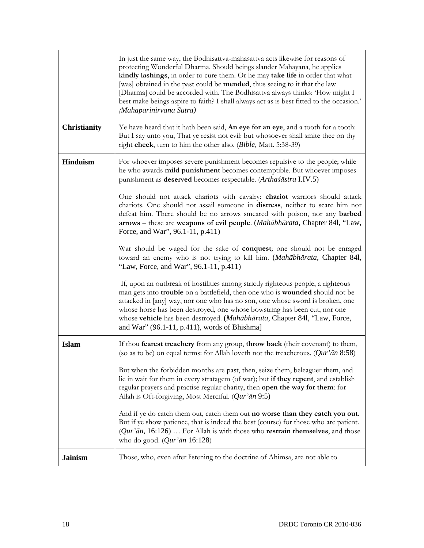|                     | In just the same way, the Bodhisattva-mahasattva acts likewise for reasons of<br>protecting Wonderful Dharma. Should beings slander Mahayana, he applies<br>kindly lashings, in order to cure them. Or he may take life in order that what<br>[was] obtained in the past could be <b>mended</b> , thus seeing to it that the law<br>[Dharma] could be accorded with. The Bodhisattva always thinks: 'How might I<br>best make beings aspire to faith? I shall always act as is best fitted to the occasion.'<br>(Mahaparinirvana Sutra) |
|---------------------|-----------------------------------------------------------------------------------------------------------------------------------------------------------------------------------------------------------------------------------------------------------------------------------------------------------------------------------------------------------------------------------------------------------------------------------------------------------------------------------------------------------------------------------------|
| <b>Christianity</b> | Ye have heard that it hath been said, An eye for an eye, and a tooth for a tooth:<br>But I say unto you, That ye resist not evil: but whosoever shall smite thee on thy<br>right cheek, turn to him the other also. (Bible, Matt. 5:38-39)                                                                                                                                                                                                                                                                                              |
| <b>Hinduism</b>     | For whoever imposes severe punishment becomes repulsive to the people; while<br>he who awards mild punishment becomes contemptible. But whoever imposes<br>punishment as deserved becomes respectable. (Arthaśāstra I.IV.5)                                                                                                                                                                                                                                                                                                             |
|                     | One should not attack chariots with cavalry: chariot warriors should attack<br>chariots. One should not assail someone in distress, neither to scare him nor<br>defeat him. There should be no arrows smeared with poison, nor any barbed<br>arrows - these are weapons of evil people. (Mahābhārata, Chapter 841, "Law,<br>Force, and War", 96.1-11, p.411)                                                                                                                                                                            |
|                     | War should be waged for the sake of conquest; one should not be enraged<br>toward an enemy who is not trying to kill him. (Mahābhārata, Chapter 841,<br>"Law, Force, and War", 96.1-11, p.411)                                                                                                                                                                                                                                                                                                                                          |
|                     | If, upon an outbreak of hostilities among strictly righteous people, a righteous<br>man gets into trouble on a battlefield, then one who is wounded should not be<br>attacked in [any] way, nor one who has no son, one whose sword is broken, one<br>whose horse has been destroyed, one whose bowstring has been cut, nor one<br>whose vehicle has been destroyed. (Mahābhārata, Chapter 841, "Law, Force,<br>and War" (96.1-11, p.411), words of Bhishma]                                                                            |
| <b>Islam</b>        | If thou fearest treachery from any group, throw back (their covenant) to them,<br>(so as to be) on equal terms: for Allah loveth not the treacherous. $(Qur'\bar{a}n 8:58)$                                                                                                                                                                                                                                                                                                                                                             |
|                     | But when the forbidden months are past, then, seize them, beleaguer them, and<br>lie in wait for them in every stratagem (of war); but if they repent, and establish<br>regular prayers and practise regular charity, then open the way for them: for<br>Allah is Oft-forgiving, Most Merciful. (Qur'ān 9:5)                                                                                                                                                                                                                            |
|                     | And if ye do catch them out, catch them out no worse than they catch you out.<br>But if ye show patience, that is indeed the best (course) for those who are patient.<br>$(Qur' \bar{a}n, 16:126) \dots$ For Allah is with those who <b>restrain themselves</b> , and those<br>who do good. $(Qur'\bar{a}n\ 16:128)$                                                                                                                                                                                                                    |
| <b>Jainism</b>      | Those, who, even after listening to the doctrine of Ahimsa, are not able to                                                                                                                                                                                                                                                                                                                                                                                                                                                             |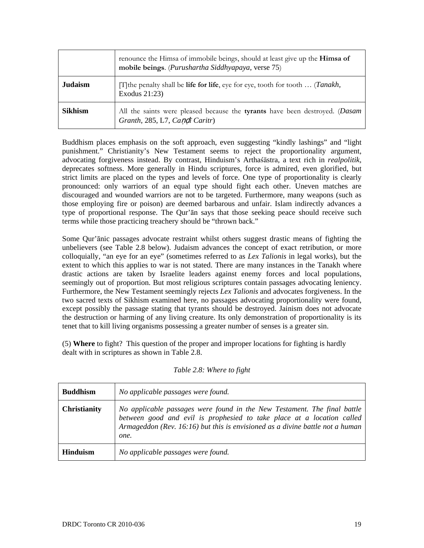|                | renounce the Himsa of immobile beings, should at least give up the Himsa of<br>mobile beings. (Purushartha Siddhyapaya, verse 75) |
|----------------|-----------------------------------------------------------------------------------------------------------------------------------|
| <b>Judaism</b> | [T] the penalty shall be <b>life for life</b> , eye for eye, tooth for tooth $\ldots$ ( <i>Tanakh</i> ,<br>Exodus 21:23)          |
| <b>Sikhism</b> | All the saints were pleased because the tyrants have been destroyed. (Dasam<br>Granth, 285, L7, Candi Caritr)                     |

Buddhism places emphasis on the soft approach, even suggesting "kindly lashings" and "light punishment." Christianity's New Testament seems to reject the proportionality argument, advocating forgiveness instead. By contrast, Hinduism's Arthaśāstra, a text rich in *realpolitik,* deprecates softness. More generally in Hindu scriptures, force is admired, even glorified, but strict limits are placed on the types and levels of force. One type of proportionality is clearly pronounced: only warriors of an equal type should fight each other. Uneven matches are discouraged and wounded warriors are not to be targeted. Furthermore, many weapons (such as those employing fire or poison) are deemed barbarous and unfair. Islam indirectly advances a type of proportional response. The Qur'ān says that those seeking peace should receive such terms while those practicing treachery should be "thrown back."

Some Qur'ānic passages advocate restraint whilst others suggest drastic means of fighting the unbelievers (see Table 2.8 below). Judaism advances the concept of exact retribution, or more colloquially, "an eye for an eye" (sometimes referred to as *Lex Talionis* in legal works), but the extent to which this applies to war is not stated. There are many instances in the Tanakh where drastic actions are taken by Israelite leaders against enemy forces and local populations, seemingly out of proportion. But most religious scriptures contain passages advocating leniency. Furthermore, the New Testament seemingly rejects *Lex Talionis* and advocates forgiveness. In the two sacred texts of Sikhism examined here, no passages advocating proportionality were found, except possibly the passage stating that tyrants should be destroyed. Jainism does not advocate the destruction or harming of any living creature. Its only demonstration of proportionality is its tenet that to kill living organisms possessing a greater number of senses is a greater sin.

(5) **Where** to fight? This question of the proper and improper locations for fighting is hardly dealt with in scriptures as shown in Table 2.8.

| <b>Buddhism</b>     | No applicable passages were found.                                                                                                                                                                                                          |
|---------------------|---------------------------------------------------------------------------------------------------------------------------------------------------------------------------------------------------------------------------------------------|
| <b>Christianity</b> | No applicable passages were found in the New Testament. The final battle<br>between good and evil is prophesied to take place at a location called<br>Armageddon (Rev. 16:16) but this is envisioned as a divine battle not a human<br>one. |
| <b>Hinduism</b>     | No applicable passages were found.                                                                                                                                                                                                          |

#### *Table 2.8: Where to fight*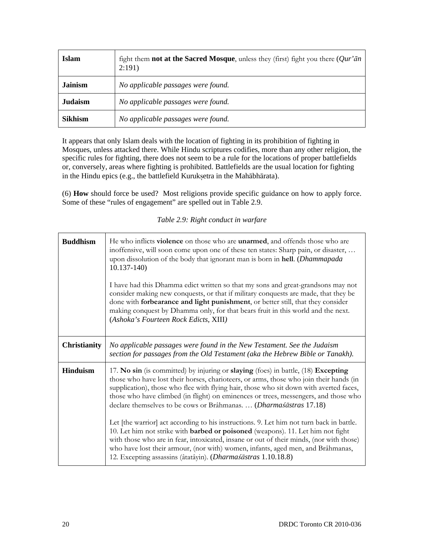| Islam          | fight them <b>not at the Sacred Mosque</b> , unless they (first) fight you there $(Qur'an)$<br>2:191) |
|----------------|-------------------------------------------------------------------------------------------------------|
| <b>Jainism</b> | No applicable passages were found.                                                                    |
| <b>Judaism</b> | No applicable passages were found.                                                                    |
| <b>Sikhism</b> | No applicable passages were found.                                                                    |

It appears that only Islam deals with the location of fighting in its prohibition of fighting in Mosques, unless attacked there. While Hindu scriptures codifies, more than any other religion, the specific rules for fighting, there does not seem to be a rule for the locations of proper battlefields or, conversely, areas where fighting is prohibited. Battlefields are the usual location for fighting in the Hindu epics (e.g., the battlefield Kuruksetra in the Mahābhārata).

(6) **How** should force be used? Most religions provide specific guidance on how to apply force. Some of these "rules of engagement" are spelled out in Table 2.9.

*Table 2.9: Right conduct in warfare* 

| <b>Buddhism</b>     | He who inflicts <b>violence</b> on those who are <b>unarmed</b> , and offends those who are<br>inoffensive, will soon come upon one of these ten states: Sharp pain, or disaster,<br>upon dissolution of the body that ignorant man is born in hell. (Dhammapada<br>$10.137 - 140$<br>I have had this Dhamma edict written so that my sons and great-grandsons may not<br>consider making new conquests, or that if military conquests are made, that they be<br>done with forbearance and light punishment, or better still, that they consider<br>making conquest by Dhamma only, for that bears fruit in this world and the next.<br>(Ashoka's Fourteen Rock Edicts, XIII)                                                                                                                                                                                           |  |  |
|---------------------|-------------------------------------------------------------------------------------------------------------------------------------------------------------------------------------------------------------------------------------------------------------------------------------------------------------------------------------------------------------------------------------------------------------------------------------------------------------------------------------------------------------------------------------------------------------------------------------------------------------------------------------------------------------------------------------------------------------------------------------------------------------------------------------------------------------------------------------------------------------------------|--|--|
| <b>Christianity</b> | No applicable passages were found in the New Testament. See the Judaism<br>section for passages from the Old Testament (aka the Hebrew Bible or Tanakh).                                                                                                                                                                                                                                                                                                                                                                                                                                                                                                                                                                                                                                                                                                                |  |  |
| <b>Hinduism</b>     | 17. No sin (is committed) by injuring or slaying (foes) in battle, (18) Excepting<br>those who have lost their horses, charioteers, or arms, those who join their hands (in<br>supplication), those who flee with flying hair, those who sit down with averted faces,<br>those who have climbed (in flight) on eminences or trees, messengers, and those who<br>declare themselves to be cows or Brâhmanas.  (Dharmasastras 17.18)<br>Let [the warrior] act according to his instructions. 9. Let him not turn back in battle.<br>10. Let him not strike with <b>barbed or poisoned</b> (weapons). 11. Let him not fight<br>with those who are in fear, intoxicated, insane or out of their minds, (nor with those)<br>who have lost their armour, (nor with) women, infants, aged men, and Brâhmanas,<br>12. Excepting assassins (âtatâyin). (Dharmaśāstras 1.10.18.8) |  |  |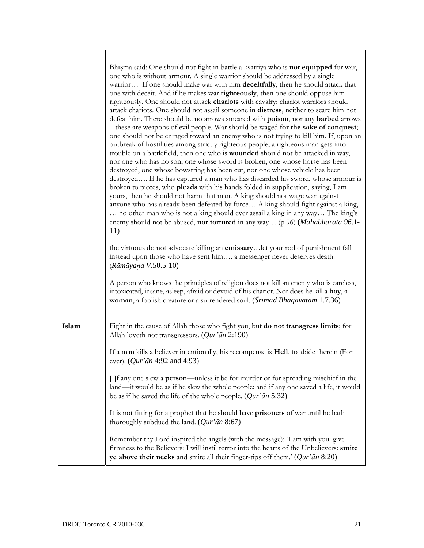|              | Bhisma said: One should not fight in battle a ksatriya who is not equipped for war,<br>one who is without armour. A single warrior should be addressed by a single<br>warrior If one should make war with him deceitfully, then he should attack that<br>one with deceit. And if he makes war righteously, then one should oppose him<br>righteously. One should not attack chariots with cavalry: chariot warriors should<br>attack chariots. One should not assail someone in distress, neither to scare him not<br>defeat him. There should be no arrows smeared with poison, nor any barbed arrows<br>- these are weapons of evil people. War should be waged for the sake of conquest;<br>one should not be enraged toward an enemy who is not trying to kill him. If, upon an<br>outbreak of hostilities among strictly righteous people, a righteous man gets into<br>trouble on a battlefield, then one who is wounded should not be attacked in way,<br>nor one who has no son, one whose sword is broken, one whose horse has been<br>destroyed, one whose bowstring has been cut, nor one whose vehicle has been<br>destroyed If he has captured a man who has discarded his sword, whose armour is<br>broken to pieces, who pleads with his hands folded in supplication, saying, I am<br>yours, then he should not harm that man. A king should not wage war against<br>anyone who has already been defeated by force A king should fight against a king,<br>no other man who is not a king should ever assail a king in any way The king's<br>enemy should not be abused, nor tortured in any way (p 96) (Mahābhārata 96.1-<br>11)<br>the virtuous do not advocate killing an emissarylet your rod of punishment fall<br>instead upon those who have sent him a messenger never deserves death.<br>(Rāmāyaņa V.50.5-10)<br>A person who knows the principles of religion does not kill an enemy who is careless,<br>intoxicated, insane, asleep, afraid or devoid of his chariot. Nor does he kill a boy, a<br>woman, a foolish creature or a surrendered soul. (Srīmad Bhagavatam 1.7.36) |
|--------------|----------------------------------------------------------------------------------------------------------------------------------------------------------------------------------------------------------------------------------------------------------------------------------------------------------------------------------------------------------------------------------------------------------------------------------------------------------------------------------------------------------------------------------------------------------------------------------------------------------------------------------------------------------------------------------------------------------------------------------------------------------------------------------------------------------------------------------------------------------------------------------------------------------------------------------------------------------------------------------------------------------------------------------------------------------------------------------------------------------------------------------------------------------------------------------------------------------------------------------------------------------------------------------------------------------------------------------------------------------------------------------------------------------------------------------------------------------------------------------------------------------------------------------------------------------------------------------------------------------------------------------------------------------------------------------------------------------------------------------------------------------------------------------------------------------------------------------------------------------------------------------------------------------------------------------------------------------------------------------------------------------------------------------------------------------------------------------------------------------|
| <b>Islam</b> | Fight in the cause of Allah those who fight you, but <b>do not transgress limits</b> ; for<br>Allah loveth not transgressors. (Qur'ān 2:190)                                                                                                                                                                                                                                                                                                                                                                                                                                                                                                                                                                                                                                                                                                                                                                                                                                                                                                                                                                                                                                                                                                                                                                                                                                                                                                                                                                                                                                                                                                                                                                                                                                                                                                                                                                                                                                                                                                                                                             |
|              | If a man kills a believer intentionally, his recompense is <b>Hell</b> , to abide therein (For<br>ever). ( <i>Qur'ān</i> 4:92 and 4:93)                                                                                                                                                                                                                                                                                                                                                                                                                                                                                                                                                                                                                                                                                                                                                                                                                                                                                                                                                                                                                                                                                                                                                                                                                                                                                                                                                                                                                                                                                                                                                                                                                                                                                                                                                                                                                                                                                                                                                                  |
|              | $\Pi$ f any one slew a <b>person</b> —unless it be for murder or for spreading mischief in the<br>land—it would be as if he slew the whole people: and if any one saved a life, it would<br>be as if he saved the life of the whole people. $(Qur'\bar{a}n 5:32)$                                                                                                                                                                                                                                                                                                                                                                                                                                                                                                                                                                                                                                                                                                                                                                                                                                                                                                                                                                                                                                                                                                                                                                                                                                                                                                                                                                                                                                                                                                                                                                                                                                                                                                                                                                                                                                        |
|              | It is not fitting for a prophet that he should have prisoners of war until he hath<br>thoroughly subdued the land. $(Qur'\bar{a}n 8:67)$                                                                                                                                                                                                                                                                                                                                                                                                                                                                                                                                                                                                                                                                                                                                                                                                                                                                                                                                                                                                                                                                                                                                                                                                                                                                                                                                                                                                                                                                                                                                                                                                                                                                                                                                                                                                                                                                                                                                                                 |
|              | Remember thy Lord inspired the angels (with the message): 'I am with you: give<br>firmness to the Believers: I will instil terror into the hearts of the Unbelievers: smite<br>ye above their necks and smite all their finger-tips off them.' $(Qur'\bar{a}n 8:20)$                                                                                                                                                                                                                                                                                                                                                                                                                                                                                                                                                                                                                                                                                                                                                                                                                                                                                                                                                                                                                                                                                                                                                                                                                                                                                                                                                                                                                                                                                                                                                                                                                                                                                                                                                                                                                                     |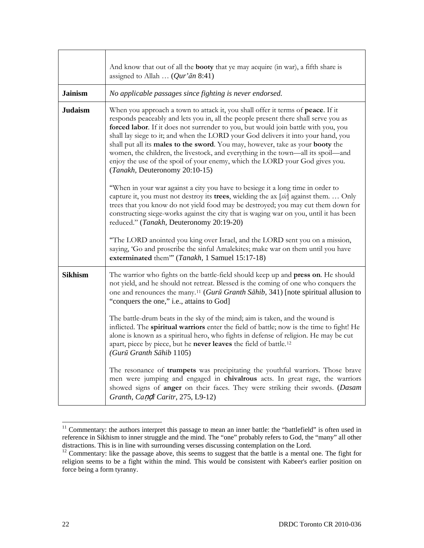|                | And know that out of all the <b>booty</b> that ye may acquire (in war), a fifth share is<br>assigned to Allah $(Qur' \bar{a}n 8:41)$                                                                                                                                                                                                                                                                                                                                                                                                                                                                                                      |  |  |  |
|----------------|-------------------------------------------------------------------------------------------------------------------------------------------------------------------------------------------------------------------------------------------------------------------------------------------------------------------------------------------------------------------------------------------------------------------------------------------------------------------------------------------------------------------------------------------------------------------------------------------------------------------------------------------|--|--|--|
| <b>Jainism</b> | No applicable passages since fighting is never endorsed.                                                                                                                                                                                                                                                                                                                                                                                                                                                                                                                                                                                  |  |  |  |
| <b>Judaism</b> | When you approach a town to attack it, you shall offer it terms of peace. If it<br>responds peaceably and lets you in, all the people present there shall serve you as<br>forced labor. If it does not surrender to you, but would join battle with you, you<br>shall lay siege to it; and when the LORD your God delivers it into your hand, you<br>shall put all its males to the sword. You may, however, take as your booty the<br>women, the children, the livestock, and everything in the town—all its spoil—and<br>enjoy the use of the spoil of your enemy, which the LORD your God gives you.<br>(Tanakh, Deuteronomy 20:10-15) |  |  |  |
|                | "When in your war against a city you have to besiege it a long time in order to<br>capture it, you must not destroy its trees, wielding the ax [sic] against them.  Only<br>trees that you know do not yield food may be destroyed; you may cut them down for<br>constructing siege-works against the city that is waging war on you, until it has been<br>reduced." (Tanakh, Deuteronomy 20:19-20)                                                                                                                                                                                                                                       |  |  |  |
|                | "The LORD anointed you king over Israel, and the LORD sent you on a mission,<br>saying, 'Go and proscribe the sinful Amalekites; make war on them until you have<br>exterminated them" (Tanakh, 1 Samuel 15:17-18)                                                                                                                                                                                                                                                                                                                                                                                                                        |  |  |  |
| <b>Sikhism</b> | The warrior who fights on the battle-field should keep up and press on. He should<br>not yield, and he should not retreat. Blessed is the coming of one who conquers the<br>one and renounces the many. <sup>11</sup> (Gurū Granth Sāhib, 341) [note spiritual allusion to<br>"conquers the one," <i>i.e.</i> , attains to God]                                                                                                                                                                                                                                                                                                           |  |  |  |
|                | The battle-drum beats in the sky of the mind; aim is taken, and the wound is<br>inflicted. The spiritual warriors enter the field of battle; now is the time to fight! He<br>alone is known as a spiritual hero, who fights in defense of religion. He may be cut<br>apart, piece by piece, but he never leaves the field of battle. <sup>12</sup><br>(Gurū Granth Sāhib 1105)                                                                                                                                                                                                                                                            |  |  |  |
|                | The resonance of trumpets was precipitating the youthful warriors. Those brave<br>men were jumping and engaged in chivalrous acts. In great rage, the warriors<br>showed signs of anger on their faces. They were striking their swords. (Dasam<br>Granth, Candi Caritr, 275, L9-12)                                                                                                                                                                                                                                                                                                                                                      |  |  |  |

<span id="page-33-0"></span><sup>&</sup>lt;sup>11</sup> Commentary: the authors interpret this passage to mean an inner battle: the "battlefield" is often used in reference in Sikhism to inner struggle and the mind. The "one" probably refers to God, the "many" all other distractions. This is in line with surrounding verses discussing contemplation on the Lord.

<span id="page-33-1"></span> $12$  Commentary: like the passage above, this seems to suggest that the battle is a mental one. The fight for religion seems to be a fight within the mind. This would be consistent with Kabeer's earlier position on force being a form tyranny.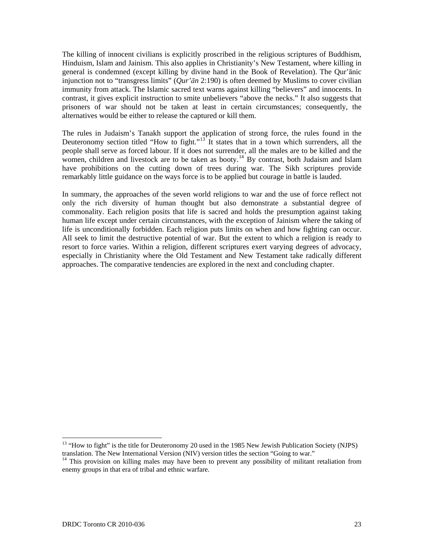The killing of innocent civilians is explicitly proscribed in the religious scriptures of Buddhism, Hinduism, Islam and Jainism. This also applies in Christianity's New Testament, where killing in general is condemned (except killing by divine hand in the Book of Revelation). The Qur'ānic injunction not to "transgress limits" (*Qur'ān* 2:190) is often deemed by Muslims to cover civilian immunity from attack. The Islamic sacred text warns against killing "believers" and innocents. In contrast, it gives explicit instruction to smite unbelievers "above the necks." It also suggests that prisoners of war should not be taken at least in certain circumstances; consequently, the alternatives would be either to release the captured or kill them.

The rules in Judaism's Tanakh support the application of strong force, the rules found in the Deuteronomy section titled "How to fight."<sup>[13](#page-34-0)</sup> It states that in a town which surrenders, all the people shall serve as forced labour. If it does not surrender, all the males are to be killed and the women, children and livestock are to be taken as booty.<sup>[14](#page-34-1)</sup> By contrast, both Judaism and Islam have prohibitions on the cutting down of trees during war. The Sikh scriptures provide remarkably little guidance on the ways force is to be applied but courage in battle is lauded.

In summary, the approaches of the seven world religions to war and the use of force reflect not only the rich diversity of human thought but also demonstrate a substantial degree of commonality. Each religion posits that life is sacred and holds the presumption against taking human life except under certain circumstances, with the exception of Jainism where the taking of life is unconditionally forbidden. Each religion puts limits on when and how fighting can occur. All seek to limit the destructive potential of war. But the extent to which a religion is ready to resort to force varies. Within a religion, different scriptures exert varying degrees of advocacy, especially in Christianity where the Old Testament and New Testament take radically different approaches. The comparative tendencies are explored in the next and concluding chapter.

<span id="page-34-0"></span><sup>&</sup>lt;sup>13</sup> "How to fight" is the title for Deuteronomy 20 used in the 1985 New Jewish Publication Society (NJPS) translation. The New International Version (NIV) version titles the section "Going to war."

<span id="page-34-1"></span> $14$  This provision on killing males may have been to prevent any possibility of militant retaliation from enemy groups in that era of tribal and ethnic warfare.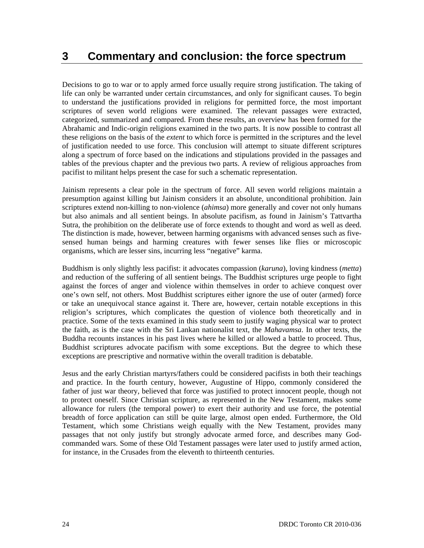Decisions to go to war or to apply armed force usually require strong justification. The taking of life can only be warranted under certain circumstances, and only for significant causes. To begin to understand the justifications provided in religions for permitted force, the most important scriptures of seven world religions were examined. The relevant passages were extracted, categorized, summarized and compared. From these results, an overview has been formed for the Abrahamic and Indic-origin religions examined in the two parts. It is now possible to contrast all these religions on the basis of the *extent* to which force is permitted in the scriptures and the level of justification needed to use force. This conclusion will attempt to situate different scriptures along a spectrum of force based on the indications and stipulations provided in the passages and tables of the previous chapter and the previous two parts. A review of religious approaches from pacifist to militant helps present the case for such a schematic representation.

Jainism represents a clear pole in the spectrum of force. All seven world religions maintain a presumption against killing but Jainism considers it an absolute, unconditional prohibition. Jain scriptures extend non-killing to non-violence (*ahimsa*) more generally and cover not only humans but also animals and all sentient beings. In absolute pacifism, as found in Jainism's Tattvartha Sutra, the prohibition on the deliberate use of force extends to thought and word as well as deed. The distinction is made, however, between harming organisms with advanced senses such as fivesensed human beings and harming creatures with fewer senses like flies or microscopic organisms, which are lesser sins, incurring less "negative" karma.

Buddhism is only slightly less pacifist: it advocates compassion (*karuna*), loving kindness (*metta*) and reduction of the suffering of all sentient beings. The Buddhist scriptures urge people to fight against the forces of anger and violence within themselves in order to achieve conquest over one's own self, not others. Most Buddhist scriptures either ignore the use of outer (armed) force or take an unequivocal stance against it. There are, however, certain notable exceptions in this religion's scriptures, which complicates the question of violence both theoretically and in practice. Some of the texts examined in this study seem to justify waging physical war to protect the faith, as is the case with the Sri Lankan nationalist text, the *Mahavamsa*. In other texts, the Buddha recounts instances in his past lives where he killed or allowed a battle to proceed. Thus, Buddhist scriptures advocate pacifism with some exceptions. But the degree to which these exceptions are prescriptive and normative within the overall tradition is debatable.

Jesus and the early Christian martyrs/fathers could be considered pacifists in both their teachings and practice. In the fourth century, however, Augustine of Hippo, commonly considered the father of just war theory, believed that force was justified to protect innocent people, though not to protect oneself. Since Christian scripture, as represented in the New Testament, makes some allowance for rulers (the temporal power) to exert their authority and use force, the potential breadth of force application can still be quite large, almost open ended. Furthermore, the Old Testament, which some Christians weigh equally with the New Testament, provides many passages that not only justify but strongly advocate armed force, and describes many Godcommanded wars. Some of these Old Testament passages were later used to justify armed action, for instance, in the Crusades from the eleventh to thirteenth centuries.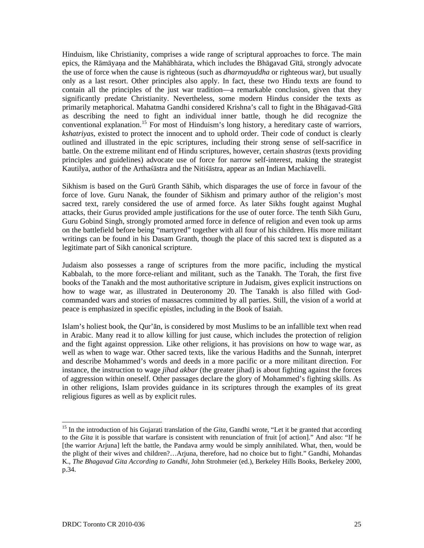Hinduism, like Christianity, comprises a wide range of scriptural approaches to force. The main epics, the Rāmāyaa and the Mahābhārata, which includes the Bhāgavad Gītā, strongly advocate the use of force when the cause is righteous (such as *dharmayuddha* or righteous war*)*, but usually only as a last resort. Other principles also apply. In fact, these two Hindu texts are found to contain all the principles of the just war tradition—a remarkable conclusion, given that they significantly predate Christianity. Nevertheless, some modern Hindus consider the texts as primarily metaphorical. Mahatma Gandhi considered Krishna's call to fight in the Bhāgavad-Gītā as describing the need to fight an individual inner battle, though he did recognize the conventional explanation.[15](#page-36-0) For most of Hinduism's long history, a hereditary caste of warriors, *kshatriyas*, existed to protect the innocent and to uphold order. Their code of conduct is clearly outlined and illustrated in the epic scriptures, including their strong sense of self-sacrifice in battle. On the extreme militant end of Hindu scriptures, however, certain *shastras* (texts providing principles and guidelines) advocate use of force for narrow self-interest, making the strategist Kautilya, author of the Arthaśāstra and the Nitiśāstra, appear as an Indian Machiavelli.

Sikhism is based on the Gurū Granth Sāhib, which disparages the use of force in favour of the force of love. Guru Nanak, the founder of Sikhism and primary author of the religion's most sacred text, rarely considered the use of armed force. As later Sikhs fought against Mughal attacks, their Gurus provided ample justifications for the use of outer force. The tenth Sikh Guru, Guru Gobind Singh, strongly promoted armed force in defence of religion and even took up arms on the battlefield before being "martyred" together with all four of his children. His more militant writings can be found in his Dasam Granth, though the place of this sacred text is disputed as a legitimate part of Sikh canonical scripture.

Judaism also possesses a range of scriptures from the more pacific, including the mystical Kabbalah, to the more force-reliant and militant, such as the Tanakh. The Torah, the first five books of the Tanakh and the most authoritative scripture in Judaism, gives explicit instructions on how to wage war, as illustrated in Deuteronomy 20. The Tanakh is also filled with Godcommanded wars and stories of massacres committed by all parties. Still, the vision of a world at peace is emphasized in specific epistles, including in the Book of Isaiah.

Islam's holiest book, the Qur'ān, is considered by most Muslims to be an infallible text when read in Arabic. Many read it to allow killing for just cause, which includes the protection of religion and the fight against oppression. Like other religions, it has provisions on how to wage war, as well as when to wage war. Other sacred texts, like the various Hadiths and the Sunnah, interpret and describe Mohammed's words and deeds in a more pacific or a more militant direction. For instance, the instruction to wage *jihad akbar* (the greater jihad) is about fighting against the forces of aggression within oneself. Other passages declare the glory of Mohammed's fighting skills. As in other religions, Islam provides guidance in its scriptures through the examples of its great religious figures as well as by explicit rules.

<span id="page-36-0"></span><sup>&</sup>lt;sup>15</sup> In the introduction of his Gujarati translation of the *Gita*, Gandhi wrote, "Let it be granted that according to the *Gita* it is possible that warfare is consistent with renunciation of fruit [of action]." And also: "If he [the warrior Arjuna] left the battle, the Pandava army would be simply annihilated. What, then, would be the plight of their wives and children?…Arjuna, therefore, had no choice but to fight." Gandhi, Mohandas K., *The Bhagavad Gita According to Gandhi*, John Strohmeier (ed.), Berkeley Hills Books, Berkeley 2000, p.34.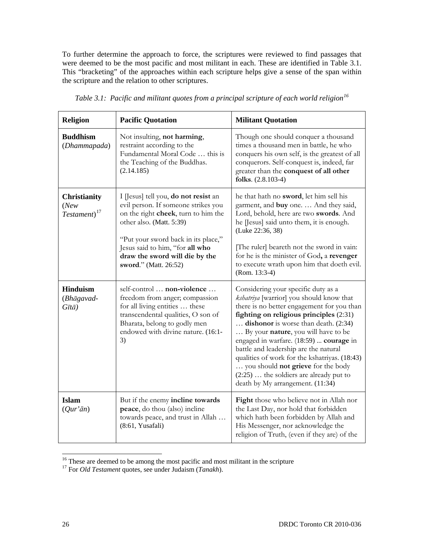To further determine the approach to force, the scriptures were reviewed to find passages that were deemed to be the most pacific and most militant in each. These are identified in Table 3.1. This "bracketing" of the approaches within each scripture helps give a sense of the span within the scripture and the relation to other scriptures.

| <b>Religion</b>                                           | <b>Pacific Quotation</b>                                                                                                                                                                                                                                                            | <b>Militant Quotation</b>                                                                                                                                                                                                                                                                                                                                                                                                                                                                                          |  |
|-----------------------------------------------------------|-------------------------------------------------------------------------------------------------------------------------------------------------------------------------------------------------------------------------------------------------------------------------------------|--------------------------------------------------------------------------------------------------------------------------------------------------------------------------------------------------------------------------------------------------------------------------------------------------------------------------------------------------------------------------------------------------------------------------------------------------------------------------------------------------------------------|--|
| <b>Buddhism</b><br>(Dhammapada)                           | Not insulting, not harming,<br>restraint according to the<br>Fundamental Moral Code  this is<br>the Teaching of the Buddhas.<br>(2.14.185)                                                                                                                                          | Though one should conquer a thousand<br>times a thousand men in battle, he who<br>conquers his own self, is the greatest of all<br>conquerors. Self-conquest is, indeed, far<br>greater than the conquest of all other<br>folks. (2.8.103-4)                                                                                                                                                                                                                                                                       |  |
| <b>Christianity</b><br>(New)<br>$Testament$ <sup>17</sup> | I [Jesus] tell you, do not resist an<br>evil person. If someone strikes you<br>on the right cheek, turn to him the<br>other also. (Matt. 5:39)<br>"Put your sword back in its place,"<br>Jesus said to him, "for all who<br>draw the sword will die by the<br>sword." (Matt. 26:52) | he that hath no sword, let him sell his<br>garment, and buy one.  And they said,<br>Lord, behold, here are two swords. And<br>he [Jesus] said unto them, it is enough.<br>(Luke 22:36, 38)<br>[The ruler] beareth not the sword in vain:<br>for he is the minister of God, a revenger<br>to execute wrath upon him that doeth evil.<br>$(Rom. 13:3-4)$                                                                                                                                                             |  |
| <b>Hinduism</b><br>(Bhāgavad-<br>$G\bar{t}t\bar{a}$ )     | self-control  non-violence<br>freedom from anger; compassion<br>for all living entities  these<br>transcendental qualities, O son of<br>Bharata, belong to godly men<br>endowed with divine nature. (16:1-<br>3)                                                                    | Considering your specific duty as a<br>kshatriya [warrior] you should know that<br>there is no better engagement for you than<br>fighting on religious principles (2:31)<br>dishonor is worse than death. (2:34)<br>By your nature, you will have to be<br>engaged in warfare. (18:59)  courage in<br>battle and leadership are the natural<br>qualities of work for the kshatriyas. (18:43)<br>you should not grieve for the body<br>$(2:25)$ the soldiers are already put to<br>death by My arrangement. (11:34) |  |
| <b>Islam</b><br>$(Qur\ddot{a}n)$                          | But if the enemy incline towards<br>peace, do thou (also) incline<br>towards peace, and trust in Allah<br>(8:61, Yusafali)                                                                                                                                                          | Fight those who believe not in Allah nor<br>the Last Day, nor hold that forbidden<br>which hath been forbidden by Allah and<br>His Messenger, nor acknowledge the<br>religion of Truth, (even if they are) of the                                                                                                                                                                                                                                                                                                  |  |

*Table 3.1: Pacific and militant quotes from a principal scripture of each world religion[16](#page-37-0)*

<span id="page-37-1"></span><span id="page-37-0"></span><sup>&</sup>lt;sup>16</sup> These are deemed to be among the most pacific and most militant in the scripture <sup>17</sup> For *Old Testament* quotes, see under Judaism (*Tanakh*).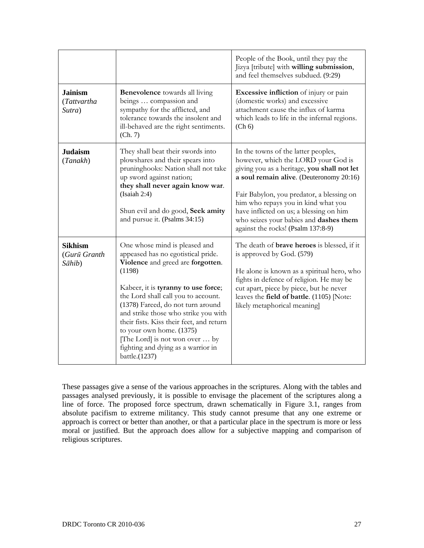|                                          |                                                                                                                                                                                                                                                                                                                                                                                                                                                | People of the Book, until they pay the<br>Jizya [tribute] with willing submission,<br>and feel themselves subdued. (9:29)                                                                                                                                                                                                                                                            |
|------------------------------------------|------------------------------------------------------------------------------------------------------------------------------------------------------------------------------------------------------------------------------------------------------------------------------------------------------------------------------------------------------------------------------------------------------------------------------------------------|--------------------------------------------------------------------------------------------------------------------------------------------------------------------------------------------------------------------------------------------------------------------------------------------------------------------------------------------------------------------------------------|
| <b>Jainism</b><br>(Tattvartha<br>Sutra)  | <b>Benevolence</b> towards all living<br>beings  compassion and<br>sympathy for the afflicted, and<br>tolerance towards the insolent and<br>ill-behaved are the right sentiments.<br>(Ch. 7)                                                                                                                                                                                                                                                   | <b>Excessive infliction</b> of injury or pain<br>(domestic works) and excessive<br>attachment cause the influx of karma<br>which leads to life in the infernal regions.<br>(Ch 6)                                                                                                                                                                                                    |
| <b>Judaism</b><br>(Tanakh)               | They shall beat their swords into<br>plowshares and their spears into<br>pruninghooks: Nation shall not take<br>up sword against nation;<br>they shall never again know war.<br>(Isaiah 2:4)<br>Shun evil and do good, Seek amity<br>and pursue it. (Psalms 34:15)                                                                                                                                                                             | In the towns of the latter peoples,<br>however, which the LORD your God is<br>giving you as a heritage, you shall not let<br>a soul remain alive. (Deuteronomy 20:16)<br>Fair Babylon, you predator, a blessing on<br>him who repays you in kind what you<br>have inflicted on us; a blessing on him<br>who seizes your babies and dashes them<br>against the rocks! (Psalm 137:8-9) |
| <b>Sikhism</b><br>(Gurū Granth<br>Sāhib) | One whose mind is pleased and<br>appeased has no egotistical pride.<br>Violence and greed are forgotten.<br>(1198)<br>Kabeer, it is tyranny to use force;<br>the Lord shall call you to account.<br>(1378) Fareed, do not turn around<br>and strike those who strike you with<br>their fists. Kiss their feet, and return<br>to your own home. (1375)<br>[The Lord] is not won over  by<br>fighting and dying as a warrior in<br>battle.(1237) | The death of <b>brave heroes</b> is blessed, if it<br>is approved by God. (579)<br>He alone is known as a spiritual hero, who<br>fights in defence of religion. He may be<br>cut apart, piece by piece, but he never<br>leaves the field of battle. (1105) [Note:<br>likely metaphorical meaning                                                                                     |

These passages give a sense of the various approaches in the scriptures. Along with the tables and passages analysed previously, it is possible to envisage the placement of the scriptures along a line of force. The proposed force spectrum, drawn schematically in Figure 3.1, ranges from absolute pacifism to extreme militancy. This study cannot presume that any one extreme or approach is correct or better than another, or that a particular place in the spectrum is more or less moral or justified. But the approach does allow for a subjective mapping and comparison of religious scriptures.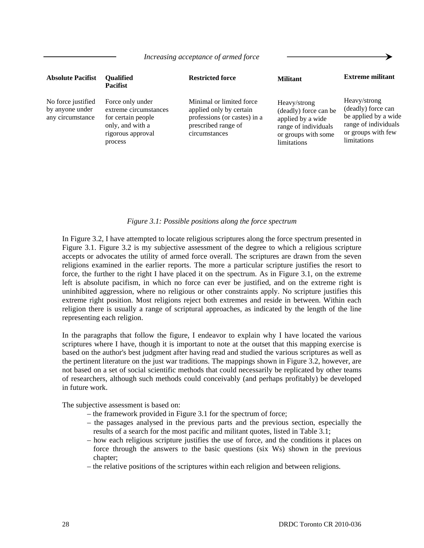| <b>Absolute Pacifist</b>                                  | <b>Oualified</b><br><b>Pacifist</b>                                                                                 | <b>Restricted force</b>                                                                                                     | <b>Militant</b>                                                                                                          | <b>Extreme militant</b>                                                                                                 |
|-----------------------------------------------------------|---------------------------------------------------------------------------------------------------------------------|-----------------------------------------------------------------------------------------------------------------------------|--------------------------------------------------------------------------------------------------------------------------|-------------------------------------------------------------------------------------------------------------------------|
| No force justified<br>by anyone under<br>any circumstance | Force only under<br>extreme circumstances<br>for certain people<br>only, and with a<br>rigorous approval<br>process | Minimal or limited force<br>applied only by certain<br>professions (or castes) in a<br>prescribed range of<br>circumstances | Heavy/strong<br>(deadly) force can be<br>applied by a wide<br>range of individuals<br>or groups with some<br>limitations | Heavy/strong<br>(deadly) force can<br>be applied by a wide<br>range of individuals<br>or groups with few<br>limitations |

#### *Increasing acceptance of armed force*

#### *Figure 3.1: Possible positions along the force spectrum*

In Figure 3.2, I have attempted to locate religious scriptures along the force spectrum presented in Figure 3.1. Figure 3.2 is my subjective assessment of the degree to which a religious scripture accepts or advocates the utility of armed force overall. The scriptures are drawn from the seven religions examined in the earlier reports. The more a particular scripture justifies the resort to force, the further to the right I have placed it on the spectrum. As in Figure 3.1, on the extreme left is absolute pacifism, in which no force can ever be justified, and on the extreme right is uninhibited aggression, where no religious or other constraints apply. No scripture justifies this extreme right position. Most religions reject both extremes and reside in between. Within each religion there is usually a range of scriptural approaches, as indicated by the length of the line representing each religion.

In the paragraphs that follow the figure, I endeavor to explain why I have located the various scriptures where I have, though it is important to note at the outset that this mapping exercise is based on the author's best judgment after having read and studied the various scriptures as well as the pertinent literature on the just war traditions. The mappings shown in Figure 3.2, however, are not based on a set of social scientific methods that could necessarily be replicated by other teams of researchers, although such methods could conceivably (and perhaps profitably) be developed in future work.

The subjective assessment is based on:

- the framework provided in Figure 3.1 for the spectrum of force;
- the passages analysed in the previous parts and the previous section, especially the results of a search for the most pacific and militant quotes, listed in Table 3.1;
- how each religious scripture justifies the use of force, and the conditions it places on force through the answers to the basic questions (six Ws) shown in the previous chapter;
- the relative positions of the scriptures within each religion and between religions.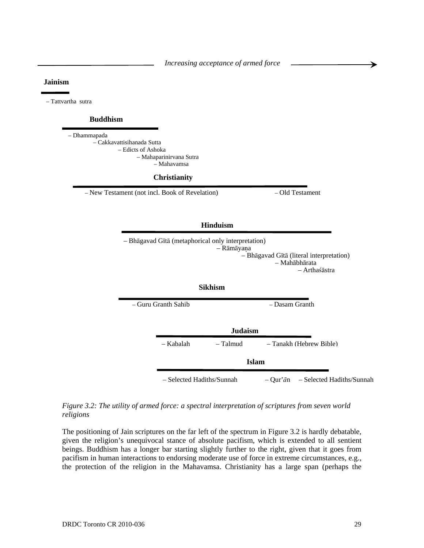*Increasing acceptance of armed force* 

#### **Jainism**

– Tattvartha sutra

#### **Buddhism**

– Dhammapada – Cakkavattisihanada Sutta – Edicts of Ashoka – Mahaparinirvana Sutra – Mahavamsa

#### **Christianity**

– New Testament (not incl. Book of Revelation) – Old Testament



– Selected Hadiths/Sunnah – Qur'*ā*n – Selected Hadiths/Sunnah

#### *Figure 3.2: The utility of armed force: a spectral interpretation of scriptures from seven world religions*

The positioning of Jain scriptures on the far left of the spectrum in Figure 3.2 is hardly debatable, given the religion's unequivocal stance of absolute pacifism, which is extended to all sentient beings. Buddhism has a longer bar starting slightly further to the right, given that it goes from pacifism in human interactions to endorsing moderate use of force in extreme circumstances, e.g., the protection of the religion in the Mahavamsa. Christianity has a large span (perhaps the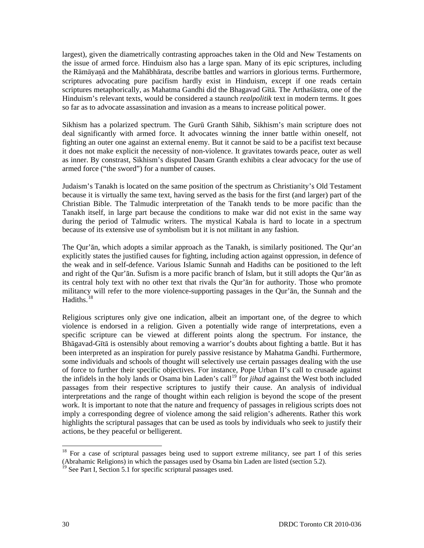largest), given the diametrically contrasting approaches taken in the Old and New Testaments on the issue of armed force. Hinduism also has a large span. Many of its epic scriptures, including the Rāmāyaā and the Mahābhārata, describe battles and warriors in glorious terms. Furthermore, scriptures advocating pure pacifism hardly exist in Hinduism, except if one reads certain scriptures metaphorically, as Mahatma Gandhi did the Bhagavad Gītā. The Arthaśāstra, one of the Hinduism's relevant texts, would be considered a staunch *realpolitik* text in modern terms. It goes so far as to advocate assassination and invasion as a means to increase political power.

Sikhism has a polarized spectrum. The Gurū Granth Sāhib, Sikhism's main scripture does not deal significantly with armed force. It advocates winning the inner battle within oneself, not fighting an outer one against an external enemy. But it cannot be said to be a pacifist text because it does not make explicit the necessity of non-violence. It gravitates towards peace, outer as well as inner. By constrast, Sikhism's disputed Dasam Granth exhibits a clear advocacy for the use of armed force ("the sword") for a number of causes.

Judaism's Tanakh is located on the same position of the spectrum as Christianity's Old Testament because it is virtually the same text, having served as the basis for the first (and larger) part of the Christian Bible. The Talmudic interpretation of the Tanakh tends to be more pacific than the Tanakh itself, in large part because the conditions to make war did not exist in the same way during the period of Talmudic writers. The mystical Kabala is hard to locate in a spectrum because of its extensive use of symbolism but it is not militant in any fashion.

The Qur'ān, which adopts a similar approach as the Tanakh, is similarly positioned. The Qur'an explicitly states the justified causes for fighting, including action against oppression, in defence of the weak and in self-defence. Various Islamic Sunnah and Hadiths can be positioned to the left and right of the Qur'ān. Sufism is a more pacific branch of Islam, but it still adopts the Qur'ān as its central holy text with no other text that rivals the Qur'ān for authority. Those who promote militancy will refer to the more violence-supporting passages in the Qur'ān, the Sunnah and the Hadiths.<sup>[18](#page-41-0)</sup>

Religious scriptures only give one indication, albeit an important one, of the degree to which violence is endorsed in a religion. Given a potentially wide range of interpretations, even a specific scripture can be viewed at different points along the spectrum. For instance, the Bhāgavad-Gītā is ostensibly about removing a warrior's doubts about fighting a battle. But it has been interpreted as an inspiration for purely passive resistance by Mahatma Gandhi. Furthermore, some individuals and schools of thought will selectively use certain passages dealing with the use of force to further their specific objectives. For instance, Pope Urban II's call to crusade against the infidels in the holy lands or Osama bin Laden's call<sup>[19](#page-41-1)</sup> for *jihad* against the West both included passages from their respective scriptures to justify their cause. An analysis of individual interpretations and the range of thought within each religion is beyond the scope of the present work. It is important to note that the nature and frequency of passages in religious scripts does not imply a corresponding degree of violence among the said religion's adherents. Rather this work highlights the scriptural passages that can be used as tools by individuals who seek to justify their actions, be they peaceful or belligerent.

l

<span id="page-41-0"></span> $18$  For a case of scriptural passages being used to support extreme militancy, see part I of this series (Abrahamic Religions) in which the passages used by Osama bin Laden are listed (section 5.2).

<span id="page-41-1"></span><sup>&</sup>lt;sup>19</sup> See Part I, Section 5.1 for specific scriptural passages used.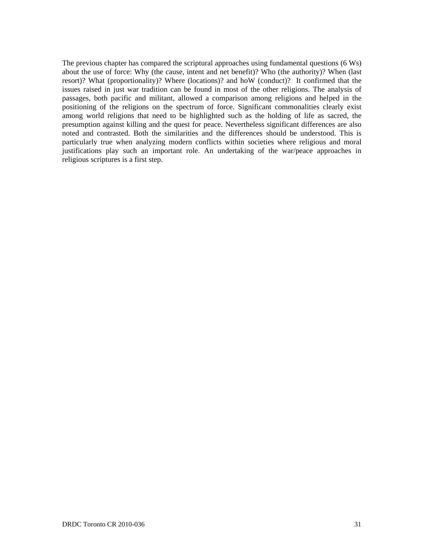The previous chapter has compared the scriptural approaches using fundamental questions (6 Ws) about the use of force: Why (the cause, intent and net benefit)? Who (the authority)? When (last resort)? What (proportionality)? Where (locations)? and hoW (conduct)? It confirmed that the issues raised in just war tradition can be found in most of the other religions. The analysis of passages, both pacific and militant, allowed a comparison among religions and helped in the positioning of the religions on the spectrum of force. Significant commonalities clearly exist among world religions that need to be highlighted such as the holding of life as sacred, the presumption against killing and the quest for peace. Nevertheless significant differences are also noted and contrasted. Both the similarities and the differences should be understood. This is particularly true when analyzing modern conflicts within societies where religious and moral justifications play such an important role. An undertaking of the war/peace approaches in religious scriptures is a first step.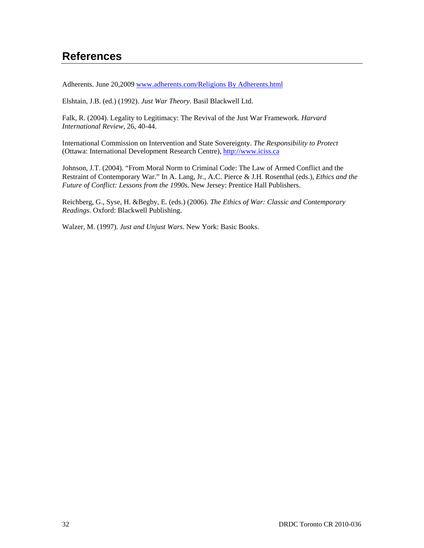# **References**

Adherents. June 20,2009 [www.adherents.com/Religions By Adherents.html](http://www.adherents.com/Religions%20By%20Adherents.html)

Elshtain, J.B. (ed.) (1992). *Just War Theory*. Basil Blackwell Ltd.

Falk, R. (2004). Legality to Legitimacy: The Revival of the Just War Framework. *Harvard International Review,* 26, 40-44.

International Commission on Intervention and State Sovereignty. *The Responsibility to Protect* (Ottawa: International Development Research Centre), [http://www.iciss.ca](http://www.iciss.ca/)

Johnson, J.T. (2004). "From Moral Norm to Criminal Code: The Law of Armed Conflict and the Restraint of Contemporary War." In A. Lang, Jr., A.C. Pierce & J.H. Rosenthal (eds.), *Ethics and the Future of Conflict: Lessons from the 1990s.* New Jersey: Prentice Hall Publishers.

Reichberg, G., Syse, H. &Begby, E. (eds.) (2006). *The Ethics of War: Classic and Contemporary Readings*. Oxford: Blackwell Publishing.

Walzer, M. (1997). *Just and Unjust Wars*. New York: Basic Books.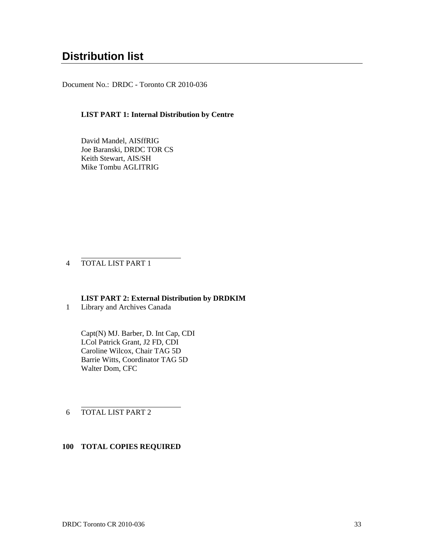# **Distribution list**

Document No.: DRDC - Toronto CR 2010-036

#### **LIST PART 1: Internal Distribution by Centre**

David Mandel, AISffRIG Joe Baranski, DRDC TOR CS Keith Stewart, AIS/SH Mike Tombu AGLITRIG

4 TOTAL LIST PART 1

l

**LIST PART 2: External Distribution by DRDKIM** 

1 Library and Archives Canada

Capt(N) MJ. Barber, D. Int Cap, CDI LCol Patrick Grant, J2 FD, CDI Caroline Wilcox, Chair TAG 5D Barrie Witts, Coordinator TAG 5D Walter Dom, CFC

6 TOTAL LIST PART 2

l

#### **100 TOTAL COPIES REQUIRED**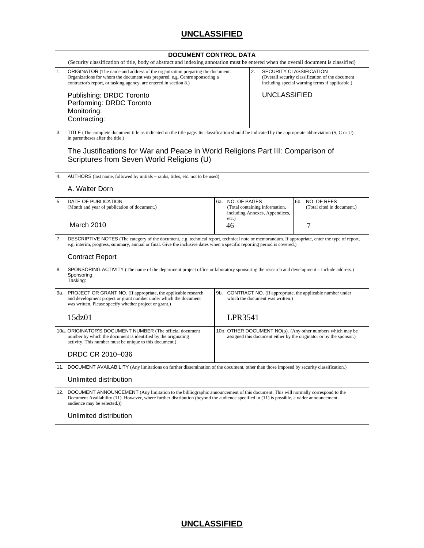### **UNCLASSIFIED**

|     | <b>DOCUMENT CONTROL DATA</b><br>(Security classification of title, body of abstract and indexing annotation must be entered when the overall document is classified)                                                                                                                                          |                                                                                                                                   |                                                                                                                                             |                                               |
|-----|---------------------------------------------------------------------------------------------------------------------------------------------------------------------------------------------------------------------------------------------------------------------------------------------------------------|-----------------------------------------------------------------------------------------------------------------------------------|---------------------------------------------------------------------------------------------------------------------------------------------|-----------------------------------------------|
| 1.  | ORIGINATOR (The name and address of the organization preparing the document.<br>Organizations for whom the document was prepared, e.g. Centre sponsoring a<br>contractor's report, or tasking agency, are entered in section 8.)                                                                              |                                                                                                                                   | 2.<br><b>SECURITY CLASSIFICATION</b><br>(Overall security classification of the document<br>including special warning terms if applicable.) |                                               |
|     | Publishing: DRDC Toronto<br>Performing: DRDC Toronto                                                                                                                                                                                                                                                          |                                                                                                                                   | <b>UNCLASSIFIED</b>                                                                                                                         |                                               |
|     | Monitoring:<br>Contracting:                                                                                                                                                                                                                                                                                   |                                                                                                                                   |                                                                                                                                             |                                               |
| 3.  | TITLE (The complete document title as indicated on the title page. Its classification should be indicated by the appropriate abbreviation (S, C or U)<br>in parentheses after the title.)                                                                                                                     |                                                                                                                                   |                                                                                                                                             |                                               |
|     | The Justifications for War and Peace in World Religions Part III: Comparison of<br>Scriptures from Seven World Religions (U)                                                                                                                                                                                  |                                                                                                                                   |                                                                                                                                             |                                               |
| 4.  | AUTHORS (last name, followed by initials – ranks, titles, etc. not to be used)                                                                                                                                                                                                                                |                                                                                                                                   |                                                                                                                                             |                                               |
|     | A. Walter Dorn                                                                                                                                                                                                                                                                                                |                                                                                                                                   |                                                                                                                                             |                                               |
| 5.  | DATE OF PUBLICATION<br>(Month and year of publication of document.)                                                                                                                                                                                                                                           | 6a. NO. OF PAGES<br>$etc.$ )                                                                                                      | (Total containing information,<br>including Annexes, Appendices,                                                                            | 6b. NO. OF REFS<br>(Total cited in document.) |
|     | March 2010                                                                                                                                                                                                                                                                                                    | 46                                                                                                                                |                                                                                                                                             | 7                                             |
| 7.  | DESCRIPTIVE NOTES (The category of the document, e.g. technical report, technical note or memorandum. If appropriate, enter the type of report,<br>e.g. interim, progress, summary, annual or final. Give the inclusive dates when a specific reporting period is covered.)                                   |                                                                                                                                   |                                                                                                                                             |                                               |
|     | <b>Contract Report</b>                                                                                                                                                                                                                                                                                        |                                                                                                                                   |                                                                                                                                             |                                               |
| 8.  | SPONSORING ACTIVITY (The name of the department project office or laboratory sponsoring the research and development – include address.)<br>Sponsoring:<br>Tasking:                                                                                                                                           |                                                                                                                                   |                                                                                                                                             |                                               |
| 9a. | PROJECT OR GRANT NO. (If appropriate, the applicable research<br>and development project or grant number under which the document<br>was written. Please specify whether project or grant.)                                                                                                                   | 9b. CONTRACT NO. (If appropriate, the applicable number under<br>which the document was written.)                                 |                                                                                                                                             |                                               |
|     | 15dz01                                                                                                                                                                                                                                                                                                        | LPR3541                                                                                                                           |                                                                                                                                             |                                               |
|     | 10a. ORIGINATOR'S DOCUMENT NUMBER (The official document<br>number by which the document is identified by the originating<br>activity. This number must be unique to this document.)                                                                                                                          | 10b. OTHER DOCUMENT NO(s). (Any other numbers which may be<br>assigned this document either by the originator or by the sponsor.) |                                                                                                                                             |                                               |
|     | DRDC CR 2010-036                                                                                                                                                                                                                                                                                              |                                                                                                                                   |                                                                                                                                             |                                               |
|     | 11. DOCUMENT AVAILABILITY (Any limitations on further dissemination of the document, other than those imposed by security classification.)                                                                                                                                                                    |                                                                                                                                   |                                                                                                                                             |                                               |
|     | Unlimited distribution                                                                                                                                                                                                                                                                                        |                                                                                                                                   |                                                                                                                                             |                                               |
|     | 12. DOCUMENT ANNOUNCEMENT (Any limitation to the bibliographic announcement of this document. This will normally correspond to the<br>Document Availability (11). However, where further distribution (beyond the audience specified in (11) is possible, a wider announcement<br>audience may be selected.)) |                                                                                                                                   |                                                                                                                                             |                                               |
|     | Unlimited distribution                                                                                                                                                                                                                                                                                        |                                                                                                                                   |                                                                                                                                             |                                               |

**UNCLASSIFIED**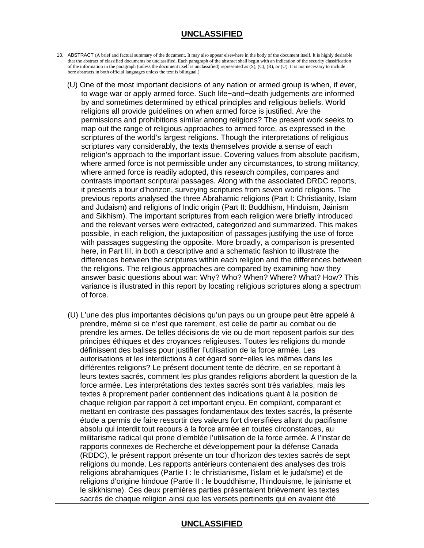### **UNCLASSIFIED**

 13. ABSTRACT (A brief and factual summary of the document. It may also appear elsewhere in the body of the document itself. It is highly desirable that the abstract of classified documents be unclassified. Each paragraph of the abstract shall begin with an indication of the security classification of the information in the paragraph (unless the document itself is unclassified) represented as  $(S)$ ,  $(C)$ ,  $(R)$ , or  $(U)$ . It is not necessary to include here abstracts in both official languages unless the text is bilingual.)

- (U) One of the most important decisions of any nation or armed group is when, if ever, to wage war or apply armed force. Such life−and−death judgements are informed by and sometimes determined by ethical principles and religious beliefs. World religions all provide guidelines on when armed force is justified. Are the permissions and prohibitions similar among religions? The present work seeks to map out the range of religious approaches to armed force, as expressed in the scriptures of the world's largest religions. Though the interpretations of religious scriptures vary considerably, the texts themselves provide a sense of each religion's approach to the important issue. Covering values from absolute pacifism, where armed force is not permissible under any circumstances, to strong militancy, where armed force is readily adopted, this research compiles, compares and contrasts important scriptural passages. Along with the associated DRDC reports, it presents a tour d'horizon, surveying scriptures from seven world religions. The previous reports analysed the three Abrahamic religions (Part I: Christianity, Islam and Judaism) and religions of Indic origin (Part II: Buddhism, Hinduism, Jainism and Sikhism). The important scriptures from each religion were briefly introduced and the relevant verses were extracted, categorized and summarized. This makes possible, in each religion, the juxtaposition of passages justifying the use of force with passages suggesting the opposite. More broadly, a comparison is presented here, in Part III, in both a descriptive and a schematic fashion to illustrate the differences between the scriptures within each religion and the differences between the religions. The religious approaches are compared by examining how they answer basic questions about war: Why? Who? When? Where? What? How? This variance is illustrated in this report by locating religious scriptures along a spectrum of force.
- (U) L'une des plus importantes décisions qu'un pays ou un groupe peut être appelé à prendre, même si ce n'est que rarement, est celle de partir au combat ou de prendre les armes. De telles décisions de vie ou de mort reposent parfois sur des principes éthiques et des croyances religieuses. Toutes les religions du monde définissent des balises pour justifier l'utilisation de la force armée. Les autorisations et les interdictions à cet égard sont−elles les mêmes dans les différentes religions? Le présent document tente de décrire, en se reportant à leurs textes sacrés, comment les plus grandes religions abordent la question de la force armée. Les interprétations des textes sacrés sont très variables, mais les textes à proprement parler contiennent des indications quant à la position de chaque religion par rapport à cet important enjeu. En compilant, comparant et mettant en contraste des passages fondamentaux des textes sacrés, la présente étude a permis de faire ressortir des valeurs fort diversifiées allant du pacifisme absolu qui interdit tout recours à la force armée en toutes circonstances, au militarisme radical qui prone d'emblée l'utilisation de la force armée. À l'instar de rapports connexes de Recherche et développement pour la défense Canada (RDDC), le présent rapport présente un tour d'horizon des textes sacrés de sept religions du monde. Les rapports antérieurs contenaient des analyses des trois religions abrahamiques (Partie I : le christianisme, l'islam et le judaïsme) et de religions d'origine hindoue (Partie II : le bouddhisme, l'hindouisme, le jaïnisme et le sikkhisme). Ces deux premières parties présentaient brièvement les textes sacrés de chaque religion ainsi que les versets pertinents qui en avaient été

### **UNCLASSIFIED**